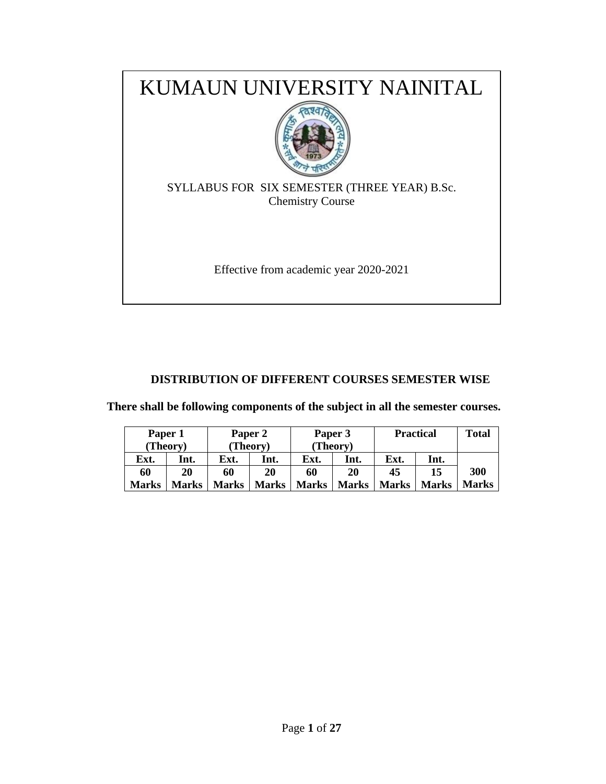

# **DISTRIBUTION OF DIFFERENT COURSES SEMESTER WISE**

**There shall be following components of the subject in all the semester courses.**

| Paper 1<br>Paper 2 |          |       | Paper 3  |              | <b>Practical</b> |              | <b>Total</b> |              |
|--------------------|----------|-------|----------|--------------|------------------|--------------|--------------|--------------|
|                    | (Theory) |       | (Theory) |              | (Theory)         |              |              |              |
| Ext.               | Int.     | Ext.  | Int.     | Ext.         | Int.             | Ext.         | Int.         |              |
| 60                 | 20       | 60    | 20       | 60           | 20               | 45           | 15           | 300          |
| <b>Marks</b>       | Marks    | Marks | Marks    | <b>Marks</b> | <b>Marks</b>     | <b>Marks</b> | Marks        | <b>Marks</b> |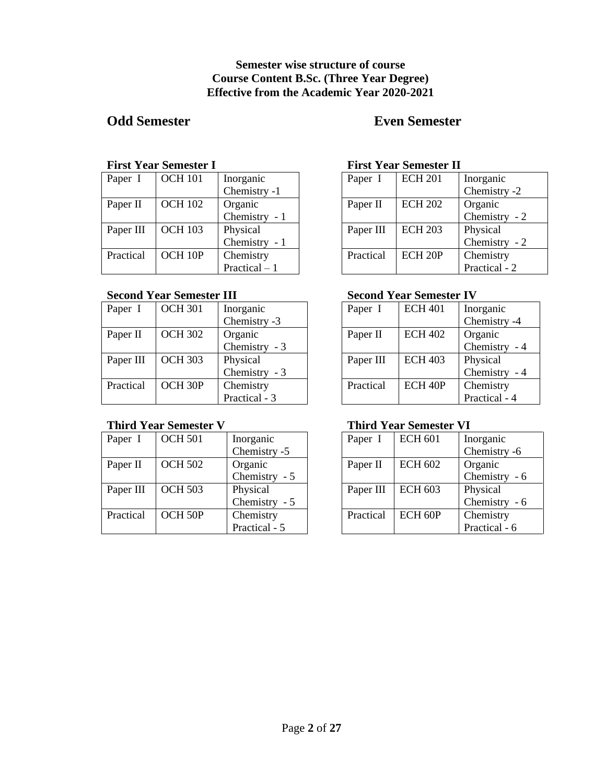## **Semester wise structure of course Course Content B.Sc. (Three Year Degree) Effective from the Academic Year 2020-2021**

# **Odd Semester Even Semester**

#### **First Year Semester I**

| Paper I   | <b>OCH 101</b> | Inorganic      |
|-----------|----------------|----------------|
|           |                | Chemistry -1   |
| Paper II  | <b>OCH 102</b> | Organic        |
|           |                | Chemistry - 1  |
| Paper III | <b>OCH 103</b> | Physical       |
|           |                | Chemistry - 1  |
| Practical | OCH 10P        | Chemistry      |
|           |                | Practical $-1$ |

# **Second Year Semester III**

| Paper I   | <b>OCH 301</b>      | Inorganic     |
|-----------|---------------------|---------------|
|           |                     | Chemistry -3  |
| Paper II  | <b>OCH 302</b>      | Organic       |
|           |                     | Chemistry - 3 |
| Paper III | <b>OCH 303</b>      | Physical      |
|           |                     | Chemistry - 3 |
| Practical | OCH <sub>30</sub> P | Chemistry     |
|           |                     | Practical - 3 |

### **Third Year Semester V**

| Paper I   | <b>OCH 501</b> | Inorganic        |
|-----------|----------------|------------------|
|           |                | Chemistry -5     |
| Paper II  | <b>OCH 502</b> | Organic          |
|           |                | Chemistry - 5    |
| Paper III | <b>OCH 503</b> | Physical         |
|           |                | Chemistry<br>- 5 |
| Practical | OCH 50P        | Chemistry        |
|           |                | Practical - 5    |

#### **First Year Semester II**

| Paper I   | <b>ECH 201</b>     | Inorganic     |
|-----------|--------------------|---------------|
|           |                    | Chemistry -2  |
| Paper II  | <b>ECH 202</b>     | Organic       |
|           |                    | Chemistry - 2 |
| Paper III | <b>ECH 203</b>     | Physical      |
|           |                    | Chemistry - 2 |
| Practical | ECH <sub>20P</sub> | Chemistry     |
|           |                    | Practical - 2 |

# **Second Year Semester IV**

| Paper I   | <b>ECH 401</b>      | Inorganic     |
|-----------|---------------------|---------------|
|           |                     | Chemistry -4  |
| Paper II  | <b>ECH 402</b>      | Organic       |
|           |                     | Chemistry - 4 |
| Paper III | <b>ECH 403</b>      | Physical      |
|           |                     | Chemistry - 4 |
| Practical | ECH <sub>40</sub> P | Chemistry     |
|           |                     | Practical - 4 |

# **Third Year Semester VI**

| Paper I   | <b>ECH 601</b> | Inorganic     |
|-----------|----------------|---------------|
|           |                | Chemistry -6  |
| Paper II  | ECH 602        | Organic       |
|           |                | Chemistry - 6 |
| Paper III | <b>ECH 603</b> | Physical      |
|           |                | Chemistry - 6 |
| Practical | $ECH$ 60P      | Chemistry     |
|           |                | Practical - 6 |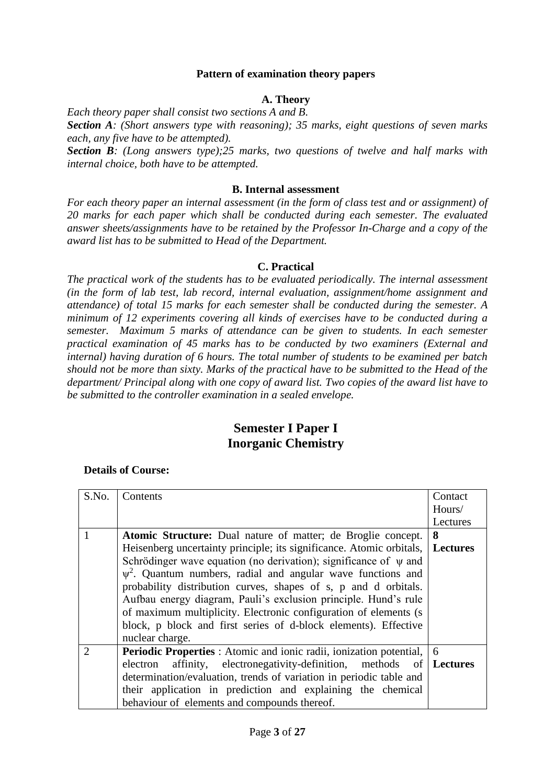### **Pattern of examination theory papers**

## **A. Theory**

*Each theory paper shall consist two sections A and B.* 

*Section A: (Short answers type with reasoning); 35 marks, eight questions of seven marks each, any five have to be attempted).*

*Section B: (Long answers type);25 marks, two questions of twelve and half marks with internal choice, both have to be attempted.* 

#### **B. Internal assessment**

*For each theory paper an internal assessment (in the form of class test and or assignment) of 20 marks for each paper which shall be conducted during each semester. The evaluated answer sheets/assignments have to be retained by the Professor In-Charge and a copy of the award list has to be submitted to Head of the Department.*

### **C. Practical**

*The practical work of the students has to be evaluated periodically. The internal assessment (in the form of lab test, lab record, internal evaluation, assignment/home assignment and attendance) of total 15 marks for each semester shall be conducted during the semester. A minimum of 12 experiments covering all kinds of exercises have to be conducted during a semester. Maximum 5 marks of attendance can be given to students. In each semester practical examination of 45 marks has to be conducted by two examiners (External and internal) having duration of 6 hours. The total number of students to be examined per batch should not be more than sixty. Marks of the practical have to be submitted to the Head of the department/ Principal along with one copy of award list. Two copies of the award list have to be submitted to the controller examination in a sealed envelope.* 

# **Semester I Paper I Inorganic Chemistry**

| S.No.                       | Contents                                                                      | Contact  |  |  |  |
|-----------------------------|-------------------------------------------------------------------------------|----------|--|--|--|
|                             |                                                                               | Hours/   |  |  |  |
|                             |                                                                               | Lectures |  |  |  |
|                             | <b>Atomic Structure:</b> Dual nature of matter; de Broglie concept.           | 8        |  |  |  |
|                             | Heisenberg uncertainty principle; its significance. Atomic orbitals, Lectures |          |  |  |  |
|                             | Schrödinger wave equation (no derivation); significance of $\psi$ and         |          |  |  |  |
|                             | $\psi^2$ . Quantum numbers, radial and angular wave functions and             |          |  |  |  |
|                             | probability distribution curves, shapes of s, p and d orbitals.               |          |  |  |  |
|                             | Aufbau energy diagram, Pauli's exclusion principle. Hund's rule               |          |  |  |  |
|                             | of maximum multiplicity. Electronic configuration of elements (s)             |          |  |  |  |
|                             | block, p block and first series of d-block elements). Effective               |          |  |  |  |
|                             | nuclear charge.                                                               |          |  |  |  |
| $\mathcal{D}_{\mathcal{L}}$ | <b>Periodic Properties</b> : Atomic and ionic radii, ionization potential,    | 6        |  |  |  |
|                             | affinity, electronegativity-definition, methods of Lectures<br>electron       |          |  |  |  |
|                             | determination/evaluation, trends of variation in periodic table and           |          |  |  |  |
|                             | their application in prediction and explaining the chemical                   |          |  |  |  |
|                             | behaviour of elements and compounds thereof.                                  |          |  |  |  |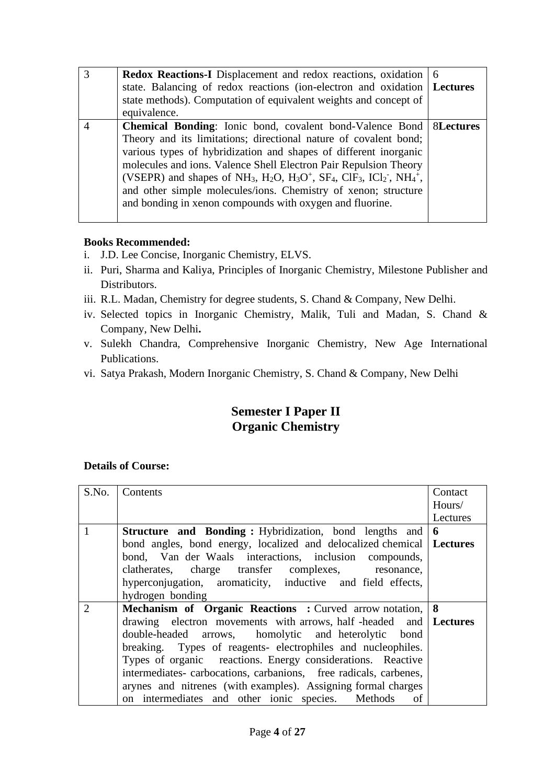| <b>Redox Reactions-I</b> Displacement and redox reactions, oxidation<br>state. Balancing of redox reactions (ion-electron and oxidation   Lectures<br>state methods). Computation of equivalent weights and concept of<br>equivalence.                                                                                                                                                                                                                                                                                                                                                                     | 6                |
|------------------------------------------------------------------------------------------------------------------------------------------------------------------------------------------------------------------------------------------------------------------------------------------------------------------------------------------------------------------------------------------------------------------------------------------------------------------------------------------------------------------------------------------------------------------------------------------------------------|------------------|
| <b>Chemical Bonding:</b> Ionic bond, covalent bond-Valence Bond<br>Theory and its limitations; directional nature of covalent bond;<br>various types of hybridization and shapes of different inorganic<br>molecules and ions. Valence Shell Electron Pair Repulsion Theory<br>(VSEPR) and shapes of NH <sub>3</sub> , H <sub>2</sub> O, H <sub>3</sub> O <sup>+</sup> , SF <sub>4</sub> , ClF <sub>3</sub> , ICl <sub>2</sub> <sup>-</sup> , NH <sub>4</sub> <sup>+</sup> ,<br>and other simple molecules/ions. Chemistry of xenon; structure<br>and bonding in xenon compounds with oxygen and fluorine. | <b>8Lectures</b> |

- i. J.D. Lee Concise, Inorganic Chemistry, ELVS.
- ii. Puri, Sharma and Kaliya, Principles of Inorganic Chemistry, Milestone Publisher and Distributors.
- iii. R.L. Madan, Chemistry for degree students, S. Chand & Company, New Delhi.
- iv. Selected topics in Inorganic Chemistry, Malik, Tuli and Madan, S. Chand & Company, New Delhi**.**
- v. Sulekh Chandra, Comprehensive Inorganic Chemistry, New Age International Publications.
- vi. Satya Prakash, Modern Inorganic Chemistry, S. Chand & Company, New Delhi

# **Semester I Paper II Organic Chemistry**

| S.No. | Contents                                                                | Contact  |
|-------|-------------------------------------------------------------------------|----------|
|       |                                                                         | Hours/   |
|       |                                                                         | Lectures |
| 1     | <b>Structure and Bonding:</b> Hybridization, bond lengths and           | 6        |
|       | bond angles, bond energy, localized and delocalized chemical   Lectures |          |
|       | bond, Van der Waals interactions, inclusion compounds,                  |          |
|       | clatherates, charge transfer complexes, resonance,                      |          |
|       | hyperconjugation, aromaticity, inductive and field effects,             |          |
|       | hydrogen bonding                                                        |          |
| 2     | Mechanism of Organic Reactions: Curved arrow notation, 8                |          |
|       | drawing electron movements with arrows, half-headed and   Lectures      |          |
|       | double-headed arrows, homolytic and heterolytic bond                    |          |
|       | breaking. Types of reagents- electrophiles and nucleophiles.            |          |
|       | Types of organic reactions. Energy considerations. Reactive             |          |
|       | intermediates-carbocations, carbanions, free radicals, carbenes,        |          |
|       | arynes and nitrenes (with examples). Assigning formal charges           |          |
|       | on intermediates and other ionic species. Methods<br>of                 |          |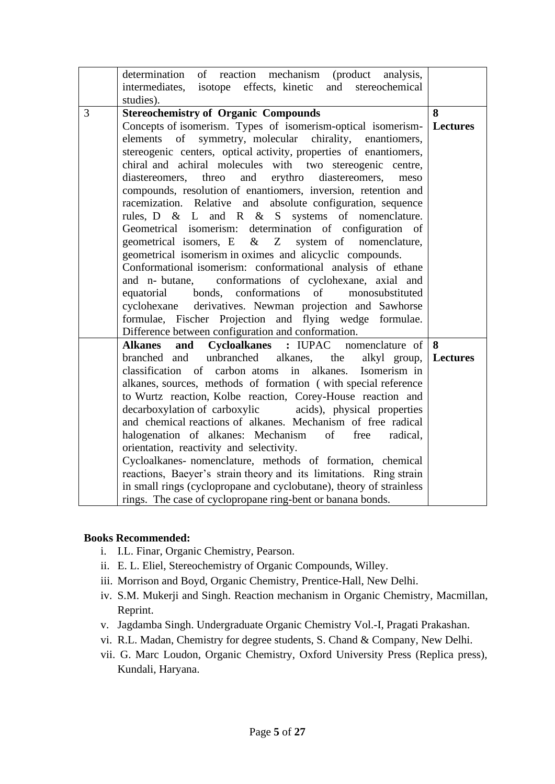| determination of reaction mechanism (product analysis,<br>intermediates, isotope effects, kinetic and stereochemical                                                                                                                                                                                                                                                                                                                                                                                                                                                                                                                                                                                                                                                                                                                                                                                                                                                                                   |                 |
|--------------------------------------------------------------------------------------------------------------------------------------------------------------------------------------------------------------------------------------------------------------------------------------------------------------------------------------------------------------------------------------------------------------------------------------------------------------------------------------------------------------------------------------------------------------------------------------------------------------------------------------------------------------------------------------------------------------------------------------------------------------------------------------------------------------------------------------------------------------------------------------------------------------------------------------------------------------------------------------------------------|-----------------|
| studies).                                                                                                                                                                                                                                                                                                                                                                                                                                                                                                                                                                                                                                                                                                                                                                                                                                                                                                                                                                                              |                 |
| 3<br><b>Stereochemistry of Organic Compounds</b><br>Concepts of isomerism. Types of isomerism-optical isomerism-<br>symmetry, molecular chirality, enantiomers,<br>elements<br>of<br>stereogenic centers, optical activity, properties of enantiomers,<br>chiral and achiral molecules with two stereogenic centre,<br>threo and erythro diastereomers, meso<br>diastereomers,<br>compounds, resolution of enantiomers, inversion, retention and<br>racemization. Relative and absolute configuration, sequence<br>rules, D & L and R & S systems of nomenclature.<br>Geometrical isomerism: determination of configuration of<br>geometrical isomers, E & Z<br>system of nomenclature,<br>geometrical isomerism in oximes and alicyclic compounds.<br>Conformational isomerism: conformational analysis of ethane<br>conformations of cyclohexane, axial and<br>and n- butane,<br>bonds, conformations of<br>monosubstituted<br>equatorial<br>cyclohexane derivatives. Newman projection and Sawhorse | 8<br>  Lectures |
| formulae, Fischer Projection and flying wedge formulae.                                                                                                                                                                                                                                                                                                                                                                                                                                                                                                                                                                                                                                                                                                                                                                                                                                                                                                                                                |                 |
| Difference between configuration and conformation.                                                                                                                                                                                                                                                                                                                                                                                                                                                                                                                                                                                                                                                                                                                                                                                                                                                                                                                                                     |                 |
| Cycloalkanes : IUPAC nomenclature of 8<br>and<br><b>Alkanes</b><br>unbranched alkanes, the<br>branched and<br>alkyl group, Lectures<br>classification of carbon atoms in alkanes. Isomerism in<br>alkanes, sources, methods of formation (with special reference<br>to Wurtz reaction, Kolbe reaction, Corey-House reaction and<br>decarboxylation of carboxylic acids), physical properties<br>and chemical reactions of alkanes. Mechanism of free radical<br>halogenation of alkanes: Mechanism<br>of<br>free<br>radical,<br>orientation, reactivity and selectivity.<br>Cycloalkanes- nomenclature, methods of formation, chemical<br>reactions, Baeyer's strain theory and its limitations. Ring strain<br>in small rings (cyclopropane and cyclobutane), theory of strainless<br>rings. The case of cyclopropane ring-bent or banana bonds.                                                                                                                                                      |                 |

- i. I.L. Finar, Organic Chemistry, Pearson.
- ii. E. L. Eliel, Stereochemistry of Organic Compounds, Willey.
- iii. Morrison and Boyd, Organic Chemistry, Prentice-Hall, New Delhi.
- iv. S.M. Mukerji and Singh. Reaction mechanism in Organic Chemistry, Macmillan, Reprint.
- v. Jagdamba Singh. Undergraduate Organic Chemistry Vol.-I, Pragati Prakashan.
- vi. R.L. Madan, Chemistry for degree students, S. Chand & Company, New Delhi.
- vii. G. Marc Loudon, Organic Chemistry, Oxford University Press (Replica press), Kundali, Haryana.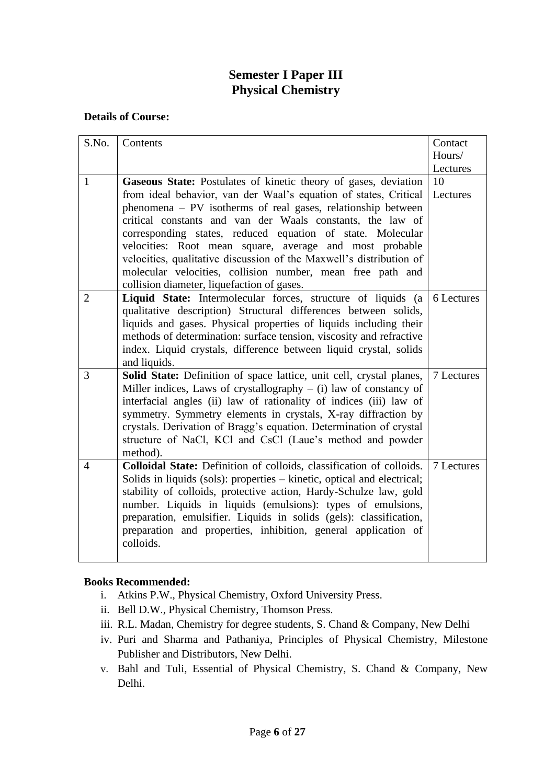# **Semester I Paper III Physical Chemistry**

# **Details of Course:**

| S.No.          | Contents                                                                | Contact    |
|----------------|-------------------------------------------------------------------------|------------|
|                |                                                                         | Hours/     |
|                |                                                                         | Lectures   |
| $\mathbf{1}$   | Gaseous State: Postulates of kinetic theory of gases, deviation         | 10         |
|                | from ideal behavior, van der Waal's equation of states, Critical        | Lectures   |
|                | phenomena – PV isotherms of real gases, relationship between            |            |
|                | critical constants and van der Waals constants, the law of              |            |
|                | corresponding states, reduced equation of state. Molecular              |            |
|                | velocities: Root mean square, average and most probable                 |            |
|                | velocities, qualitative discussion of the Maxwell's distribution of     |            |
|                | molecular velocities, collision number, mean free path and              |            |
|                | collision diameter, liquefaction of gases.                              |            |
| $\overline{2}$ | Liquid State: Intermolecular forces, structure of liquids (a            | 6 Lectures |
|                | qualitative description) Structural differences between solids,         |            |
|                | liquids and gases. Physical properties of liquids including their       |            |
|                | methods of determination: surface tension, viscosity and refractive     |            |
|                | index. Liquid crystals, difference between liquid crystal, solids       |            |
|                | and liquids.                                                            |            |
| 3              | Solid State: Definition of space lattice, unit cell, crystal planes,    | 7 Lectures |
|                | Miller indices, Laws of crystallography $-$ (i) law of constancy of     |            |
|                | interfacial angles (ii) law of rationality of indices (iii) law of      |            |
|                | symmetry. Symmetry elements in crystals, X-ray diffraction by           |            |
|                | crystals. Derivation of Bragg's equation. Determination of crystal      |            |
|                | structure of NaCl, KCl and CsCl (Laue's method and powder               |            |
|                | method).                                                                |            |
| $\overline{4}$ | Colloidal State: Definition of colloids, classification of colloids.    | 7 Lectures |
|                | Solids in liquids (sols): properties – kinetic, optical and electrical; |            |
|                | stability of colloids, protective action, Hardy-Schulze law, gold       |            |
|                | number. Liquids in liquids (emulsions): types of emulsions,             |            |
|                | preparation, emulsifier. Liquids in solids (gels): classification,      |            |
|                | preparation and properties, inhibition, general application of          |            |
|                | colloids.                                                               |            |
|                |                                                                         |            |

- i. Atkins P.W., Physical Chemistry, Oxford University Press.
- ii. Bell D.W., Physical Chemistry, Thomson Press.
- iii. R.L. Madan, Chemistry for degree students, S. Chand & Company, New Delhi
- iv. Puri and Sharma and Pathaniya, Principles of Physical Chemistry, Milestone Publisher and Distributors, New Delhi.
- v. Bahl and Tuli, Essential of Physical Chemistry, S. Chand & Company, New Delhi.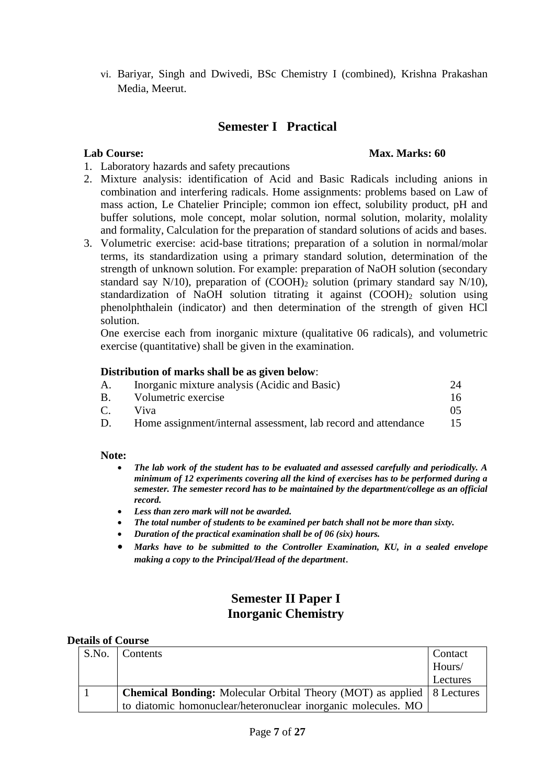vi. Bariyar, Singh and Dwivedi, BSc Chemistry I (combined), Krishna Prakashan Media, Meerut.

# **Semester I Practical**

### **Lab Course: Max. Marks: 60**

- 1. Laboratory hazards and safety precautions
- 2. Mixture analysis: identification of Acid and Basic Radicals including anions in combination and interfering radicals. Home assignments: problems based on Law of mass action, Le Chatelier Principle; common ion effect, solubility product, pH and buffer solutions, mole concept, molar solution, normal solution, molarity, molality and formality, Calculation for the preparation of standard solutions of acids and bases.
- 3. Volumetric exercise: acid-base titrations; preparation of a solution in normal/molar terms, its standardization using a primary standard solution, determination of the strength of unknown solution. For example: preparation of NaOH solution (secondary standard say N/10), preparation of  $(COOH)_2$  solution (primary standard say N/10), standardization of NaOH solution titrating it against (COOH)<sup>2</sup> solution using phenolphthalein (indicator) and then determination of the strength of given HCl solution.

One exercise each from inorganic mixture (qualitative 06 radicals), and volumetric exercise (quantitative) shall be given in the examination.

#### **Distribution of marks shall be as given below**:

| Inorganic mixture analysis (Acidic and Basic)                  |    |
|----------------------------------------------------------------|----|
| Volumetric exercise                                            | 16 |
| Viva                                                           |    |
| Home assignment/internal assessment, lab record and attendance | 15 |
|                                                                |    |

#### **Note:**

- *The lab work of the student has to be evaluated and assessed carefully and periodically. A minimum of 12 experiments covering all the kind of exercises has to be performed during a semester. The semester record has to be maintained by the department/college as an official record.*
- *Less than zero mark will not be awarded.*
- *The total number of students to be examined per batch shall not be more than sixty.*
- *Duration of the practical examination shall be of 06 (six) hours.*
- *Marks have to be submitted to the Controller Examination, KU, in a sealed envelope making a copy to the Principal/Head of the department*.

# **Semester II Paper I Inorganic Chemistry**

| S.No. | Contents                                                                      | Contact  |
|-------|-------------------------------------------------------------------------------|----------|
|       |                                                                               | Hours/   |
|       |                                                                               | Lectures |
|       | <b>Chemical Bonding:</b> Molecular Orbital Theory (MOT) as applied 8 Lectures |          |
|       | to diatomic homonuclear/heteronuclear inorganic molecules. MO                 |          |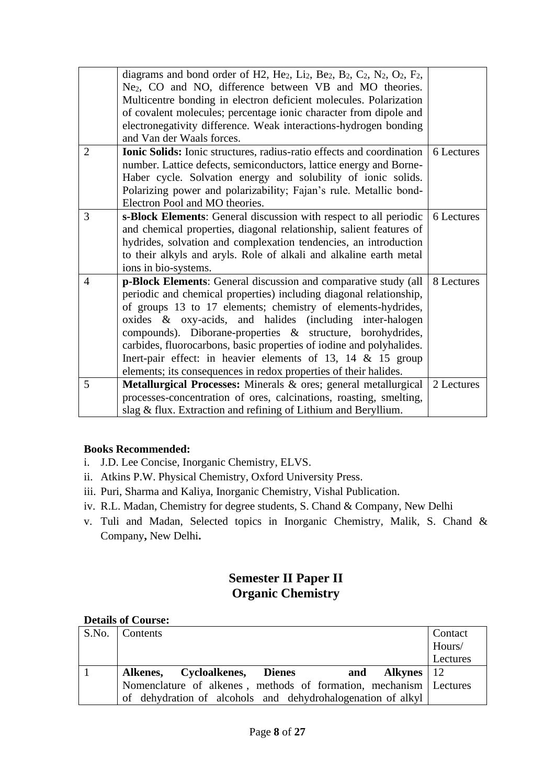|                | diagrams and bond order of H2, He <sub>2</sub> , Li <sub>2</sub> , Be <sub>2</sub> , B <sub>2</sub> , C <sub>2</sub> , N <sub>2</sub> , O <sub>2</sub> , F <sub>2</sub> ,<br>Ne <sub>2</sub> , CO and NO, difference between VB and MO theories. |            |  |  |  |  |  |
|----------------|--------------------------------------------------------------------------------------------------------------------------------------------------------------------------------------------------------------------------------------------------|------------|--|--|--|--|--|
|                | Multicentre bonding in electron deficient molecules. Polarization                                                                                                                                                                                |            |  |  |  |  |  |
|                | of covalent molecules; percentage ionic character from dipole and                                                                                                                                                                                |            |  |  |  |  |  |
|                | electronegativity difference. Weak interactions-hydrogen bonding                                                                                                                                                                                 |            |  |  |  |  |  |
|                | and Van der Waals forces.                                                                                                                                                                                                                        |            |  |  |  |  |  |
| $\overline{2}$ | <b>Ionic Solids:</b> Ionic structures, radius-ratio effects and coordination                                                                                                                                                                     | 6 Lectures |  |  |  |  |  |
|                | number. Lattice defects, semiconductors, lattice energy and Borne-                                                                                                                                                                               |            |  |  |  |  |  |
|                | Haber cycle. Solvation energy and solubility of ionic solids.                                                                                                                                                                                    |            |  |  |  |  |  |
|                | Polarizing power and polarizability; Fajan's rule. Metallic bond-                                                                                                                                                                                |            |  |  |  |  |  |
|                | Electron Pool and MO theories.                                                                                                                                                                                                                   |            |  |  |  |  |  |
| 3              | s-Block Elements: General discussion with respect to all periodic                                                                                                                                                                                | 6 Lectures |  |  |  |  |  |
|                | and chemical properties, diagonal relationship, salient features of                                                                                                                                                                              |            |  |  |  |  |  |
|                | hydrides, solvation and complexation tendencies, an introduction                                                                                                                                                                                 |            |  |  |  |  |  |
|                | to their alkyls and aryls. Role of alkali and alkaline earth metal                                                                                                                                                                               |            |  |  |  |  |  |
|                | ions in bio-systems.                                                                                                                                                                                                                             |            |  |  |  |  |  |
| $\overline{4}$ | p-Block Elements: General discussion and comparative study (all                                                                                                                                                                                  | 8 Lectures |  |  |  |  |  |
|                | periodic and chemical properties) including diagonal relationship,                                                                                                                                                                               |            |  |  |  |  |  |
|                | of groups 13 to 17 elements; chemistry of elements-hydrides,                                                                                                                                                                                     |            |  |  |  |  |  |
|                | oxides & oxy-acids, and halides (including inter-halogen                                                                                                                                                                                         |            |  |  |  |  |  |
|                | compounds). Diborane-properties & structure, borohydrides,                                                                                                                                                                                       |            |  |  |  |  |  |
|                | carbides, fluorocarbons, basic properties of iodine and polyhalides.                                                                                                                                                                             |            |  |  |  |  |  |
|                | Inert-pair effect: in heavier elements of 13, 14 $&$ 15 group                                                                                                                                                                                    |            |  |  |  |  |  |
|                | elements; its consequences in redox properties of their halides.                                                                                                                                                                                 |            |  |  |  |  |  |
| 5              | Metallurgical Processes: Minerals & ores; general metallurgical                                                                                                                                                                                  | 2 Lectures |  |  |  |  |  |
|                | processes-concentration of ores, calcinations, roasting, smelting,                                                                                                                                                                               |            |  |  |  |  |  |
|                | slag & flux. Extraction and refining of Lithium and Beryllium.                                                                                                                                                                                   |            |  |  |  |  |  |

- i. J.D. Lee Concise, Inorganic Chemistry, ELVS.
- ii. Atkins P.W. Physical Chemistry, Oxford University Press.
- iii. Puri, Sharma and Kaliya, Inorganic Chemistry, Vishal Publication.
- iv. R.L. Madan, Chemistry for degree students, S. Chand & Company, New Delhi
- v. Tuli and Madan, Selected topics in Inorganic Chemistry, Malik, S. Chand & Company**,** New Delhi**.**

# **Semester II Paper II Organic Chemistry**

| S.No. Contents                                                      | Contact  |
|---------------------------------------------------------------------|----------|
|                                                                     | Hours/   |
|                                                                     | Lectures |
| and Alkynes   12<br>Alkenes, Cycloalkenes, Dienes                   |          |
| Nomenclature of alkenes, methods of formation, mechanism   Lectures |          |
| of dehydration of alcohols and dehydrohalogenation of alkyl         |          |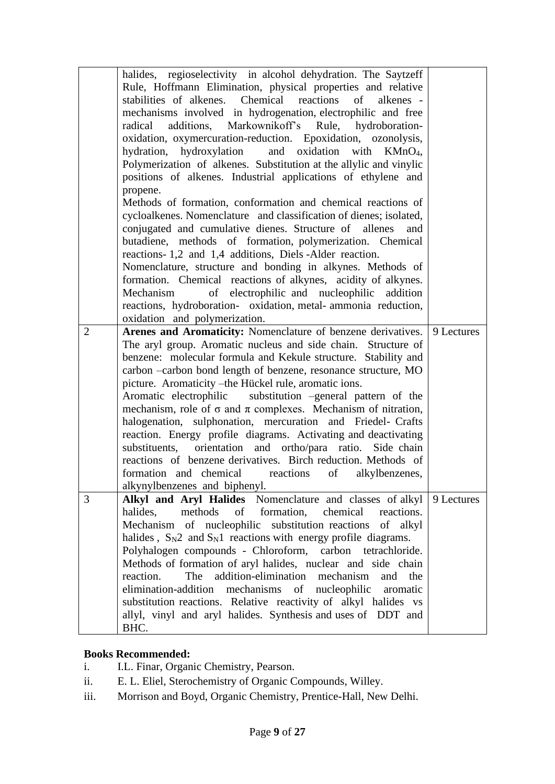|                | halides, regioselectivity in alcohol dehydration. The Saytzeff<br>Rule, Hoffmann Elimination, physical properties and relative<br>stabilities of alkenes. Chemical reactions<br>of<br>alkenes -<br>mechanisms involved in hydrogenation, electrophilic and free<br>radical additions, Markownikoff's Rule, hydroboration-<br>oxidation, oxymercuration-reduction. Epoxidation, ozonolysis,<br>hydration, hydroxylation<br>and oxidation<br>with $KMnO4$ ,<br>Polymerization of alkenes. Substitution at the allylic and vinylic<br>positions of alkenes. Industrial applications of ethylene and<br>propene.<br>Methods of formation, conformation and chemical reactions of<br>cycloalkenes. Nomenclature and classification of dienes; isolated,<br>conjugated and cumulative dienes. Structure of allenes<br>and<br>butadiene, methods of formation, polymerization. Chemical<br>reactions-1,2 and 1,4 additions, Diels-Alder reaction.<br>Nomenclature, structure and bonding in alkynes. Methods of<br>formation. Chemical reactions of alkynes, acidity of alkynes.<br>Mechanism<br>of electrophilic and nucleophilic addition<br>reactions, hydroboration- oxidation, metal-ammonia reduction,<br>oxidation and polymerization. |            |
|----------------|----------------------------------------------------------------------------------------------------------------------------------------------------------------------------------------------------------------------------------------------------------------------------------------------------------------------------------------------------------------------------------------------------------------------------------------------------------------------------------------------------------------------------------------------------------------------------------------------------------------------------------------------------------------------------------------------------------------------------------------------------------------------------------------------------------------------------------------------------------------------------------------------------------------------------------------------------------------------------------------------------------------------------------------------------------------------------------------------------------------------------------------------------------------------------------------------------------------------------------------|------------|
| $\overline{2}$ | Arenes and Aromaticity: Nomenclature of benzene derivatives.  <br>The aryl group. Aromatic nucleus and side chain. Structure of<br>benzene: molecular formula and Kekule structure. Stability and<br>carbon -carbon bond length of benzene, resonance structure, MO<br>picture. Aromaticity - the Hückel rule, aromatic ions.<br>Aromatic electrophilic<br>substitution -general pattern of the<br>mechanism, role of $\sigma$ and $\pi$ complexes. Mechanism of nitration,<br>halogenation, sulphonation, mercuration and Friedel- Crafts<br>reaction. Energy profile diagrams. Activating and deactivating<br>orientation and ortho/para ratio. Side chain<br>substituents,<br>reactions of benzene derivatives. Birch reduction. Methods of<br>formation and chemical reactions<br>of<br>alkylbenzenes,<br>alkynylbenzenes and biphenyl.                                                                                                                                                                                                                                                                                                                                                                                            | 9 Lectures |
| 3              | Alkyl and Aryl Halides Nomenclature and classes of alkyl 9 Lectures<br>methods of formation,<br>halides,<br>chemical<br>reactions.<br>Mechanism of nucleophilic substitution reactions<br>of alkyl<br>halides, $S_N2$ and $S_N1$ reactions with energy profile diagrams.<br>Polyhalogen compounds - Chloroform, carbon tetrachloride.<br>Methods of formation of aryl halides, nuclear and side chain<br>The<br>addition-elimination<br>mechanism<br>reaction.<br>and the<br>elimination-addition mechanisms of nucleophilic<br>aromatic<br>substitution reactions. Relative reactivity of alkyl halides vs<br>allyl, vinyl and aryl halides. Synthesis and uses of DDT and<br>BHC.                                                                                                                                                                                                                                                                                                                                                                                                                                                                                                                                                    |            |

- i. I.L. Finar, Organic Chemistry, Pearson.
- ii. E. L. Eliel, Sterochemistry of Organic Compounds, Willey.
- iii. Morrison and Boyd, Organic Chemistry, Prentice-Hall, New Delhi.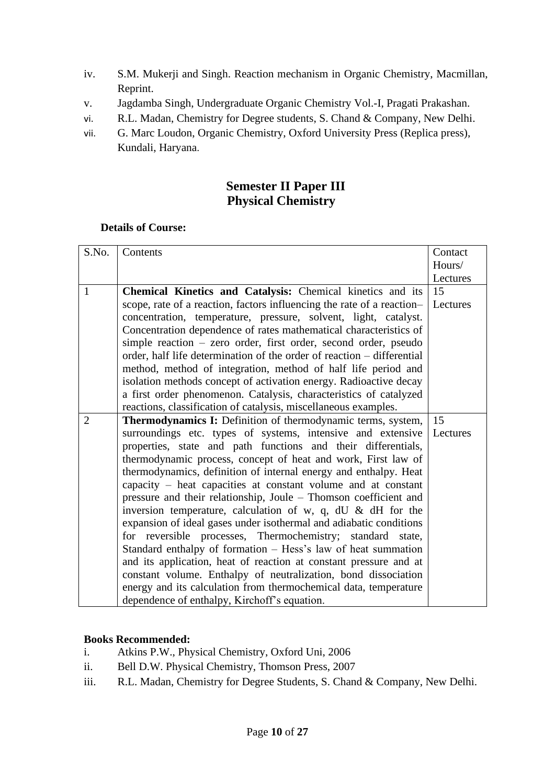- iv. S.M. Mukerji and Singh. Reaction mechanism in Organic Chemistry, Macmillan, Reprint.
- v. Jagdamba Singh, Undergraduate Organic Chemistry Vol.-I, Pragati Prakashan.
- vi. R.L. Madan, Chemistry for Degree students, S. Chand & Company, New Delhi.
- vii. G. Marc Loudon, Organic Chemistry, Oxford University Press (Replica press), Kundali, Haryana.

# **Semester II Paper III Physical Chemistry**

## **Details of Course:**

| S.No.        | Contents                                                                                                                                                                                                                                                                                                                                                                                                                                                                                                                                                                                                                                                                                                                                                                                                                                                                                                                                                                                                        | Contact        |
|--------------|-----------------------------------------------------------------------------------------------------------------------------------------------------------------------------------------------------------------------------------------------------------------------------------------------------------------------------------------------------------------------------------------------------------------------------------------------------------------------------------------------------------------------------------------------------------------------------------------------------------------------------------------------------------------------------------------------------------------------------------------------------------------------------------------------------------------------------------------------------------------------------------------------------------------------------------------------------------------------------------------------------------------|----------------|
|              |                                                                                                                                                                                                                                                                                                                                                                                                                                                                                                                                                                                                                                                                                                                                                                                                                                                                                                                                                                                                                 | Hours/         |
|              |                                                                                                                                                                                                                                                                                                                                                                                                                                                                                                                                                                                                                                                                                                                                                                                                                                                                                                                                                                                                                 | Lectures       |
| $\mathbf{1}$ | Chemical Kinetics and Catalysis: Chemical kinetics and its<br>scope, rate of a reaction, factors influencing the rate of a reaction-<br>concentration, temperature, pressure, solvent, light, catalyst.<br>Concentration dependence of rates mathematical characteristics of<br>simple reaction – zero order, first order, second order, pseudo<br>order, half life determination of the order of reaction – differential<br>method, method of integration, method of half life period and<br>isolation methods concept of activation energy. Radioactive decay<br>a first order phenomenon. Catalysis, characteristics of catalyzed                                                                                                                                                                                                                                                                                                                                                                            | 15<br>Lectures |
|              | reactions, classification of catalysis, miscellaneous examples.                                                                                                                                                                                                                                                                                                                                                                                                                                                                                                                                                                                                                                                                                                                                                                                                                                                                                                                                                 |                |
| 2            | <b>Thermodynamics I:</b> Definition of thermodynamic terms, system,<br>surroundings etc. types of systems, intensive and extensive<br>properties, state and path functions and their differentials,<br>thermodynamic process, concept of heat and work, First law of<br>thermodynamics, definition of internal energy and enthalpy. Heat<br>capacity – heat capacities at constant volume and at constant<br>pressure and their relationship, Joule - Thomson coefficient and<br>inversion temperature, calculation of w, q, dU $\&$ dH for the<br>expansion of ideal gases under isothermal and adiabatic conditions<br>for reversible processes, Thermochemistry; standard state,<br>Standard enthalpy of formation – Hess's law of heat summation<br>and its application, heat of reaction at constant pressure and at<br>constant volume. Enthalpy of neutralization, bond dissociation<br>energy and its calculation from thermochemical data, temperature<br>dependence of enthalpy, Kirchoff's equation. | 15<br>Lectures |

- i. Atkins P.W., Physical Chemistry, Oxford Uni, 2006
- ii. Bell D.W. Physical Chemistry, Thomson Press, 2007
- iii. R.L. Madan, Chemistry for Degree Students, S. Chand & Company, New Delhi.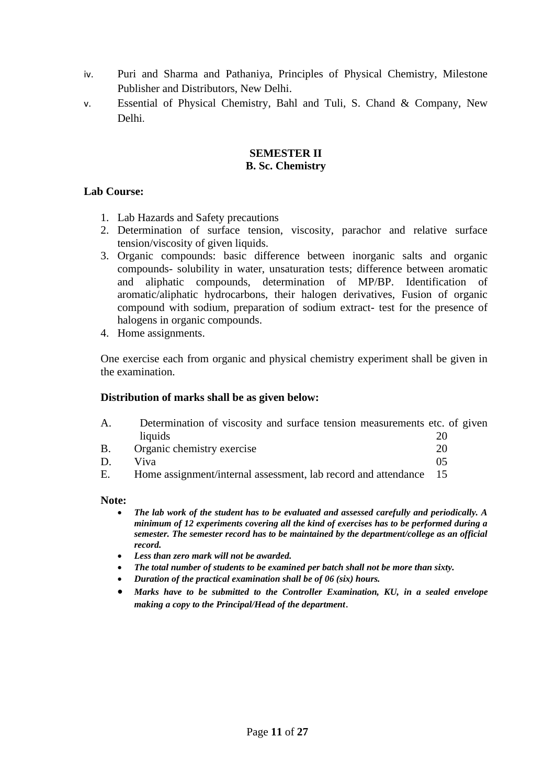- iv. Puri and Sharma and Pathaniya, Principles of Physical Chemistry, Milestone Publisher and Distributors, New Delhi.
- v. Essential of Physical Chemistry, Bahl and Tuli, S. Chand & Company, New Delhi.

#### **SEMESTER II B. Sc. Chemistry**

## **Lab Course:**

- 1. Lab Hazards and Safety precautions
- 2. Determination of surface tension, viscosity, parachor and relative surface tension/viscosity of given liquids.
- 3. Organic compounds: basic difference between inorganic salts and organic compounds- solubility in water, unsaturation tests; difference between aromatic and aliphatic compounds, determination of MP/BP. Identification of aromatic/aliphatic hydrocarbons, their halogen derivatives, Fusion of organic compound with sodium, preparation of sodium extract- test for the presence of halogens in organic compounds.
- 4. Home assignments.

One exercise each from organic and physical chemistry experiment shall be given in the examination.

### **Distribution of marks shall be as given below:**

| А. | Determination of viscosity and surface tension measurements etc. of given |  |  |  |
|----|---------------------------------------------------------------------------|--|--|--|
|    | liquids                                                                   |  |  |  |

- B. Organic chemistry exercise 20 D. Viva 05
- E. Home assignment/internal assessment, lab record and attendance 15

### **Note:**

- *The lab work of the student has to be evaluated and assessed carefully and periodically. A minimum of 12 experiments covering all the kind of exercises has to be performed during a semester. The semester record has to be maintained by the department/college as an official record.*
- *Less than zero mark will not be awarded.*
- *The total number of students to be examined per batch shall not be more than sixty.*
- *Duration of the practical examination shall be of 06 (six) hours.*
- *Marks have to be submitted to the Controller Examination, KU, in a sealed envelope making a copy to the Principal/Head of the department*.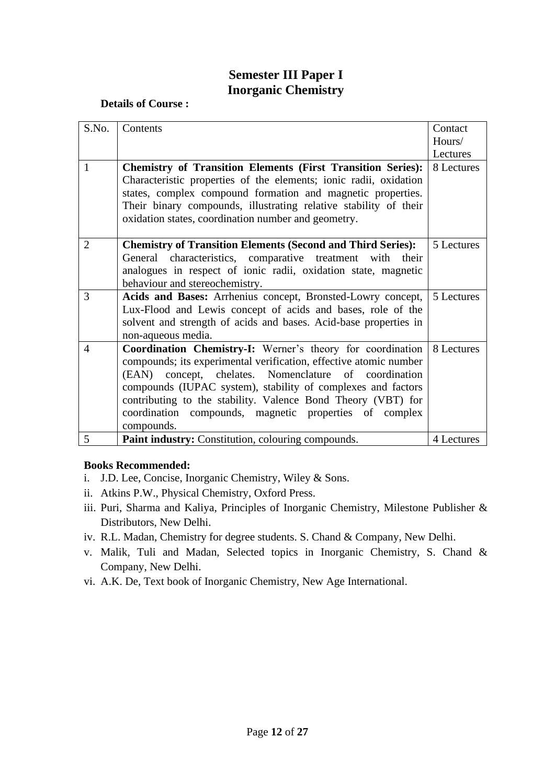# **Semester III Paper I Inorganic Chemistry**

## **Details of Course :**

| S.No.          | Contents                                                                                                                         | Contact    |
|----------------|----------------------------------------------------------------------------------------------------------------------------------|------------|
|                |                                                                                                                                  | Hours/     |
|                |                                                                                                                                  | Lectures   |
| $\mathbf{1}$   | <b>Chemistry of Transition Elements (First Transition Series):</b>                                                               | 8 Lectures |
|                | Characteristic properties of the elements; ionic radii, oxidation<br>states, complex compound formation and magnetic properties. |            |
|                | Their binary compounds, illustrating relative stability of their                                                                 |            |
|                | oxidation states, coordination number and geometry.                                                                              |            |
|                |                                                                                                                                  |            |
| $\overline{2}$ | <b>Chemistry of Transition Elements (Second and Third Series):</b>                                                               | 5 Lectures |
|                | General characteristics, comparative treatment with their                                                                        |            |
|                | analogues in respect of ionic radii, oxidation state, magnetic                                                                   |            |
|                | behaviour and stereochemistry.                                                                                                   |            |
| 3              | Acids and Bases: Arrhenius concept, Bronsted-Lowry concept,                                                                      | 5 Lectures |
|                | Lux-Flood and Lewis concept of acids and bases, role of the                                                                      |            |
|                | solvent and strength of acids and bases. Acid-base properties in                                                                 |            |
|                | non-aqueous media.                                                                                                               |            |
| $\overline{4}$ | Coordination Chemistry-I: Werner's theory for coordination                                                                       | 8 Lectures |
|                | compounds; its experimental verification, effective atomic number                                                                |            |
|                | concept, chelates. Nomenclature of coordination<br>(EAN)                                                                         |            |
|                | compounds (IUPAC system), stability of complexes and factors                                                                     |            |
|                | contributing to the stability. Valence Bond Theory (VBT) for                                                                     |            |
|                | coordination compounds, magnetic properties of complex                                                                           |            |
|                | compounds.                                                                                                                       |            |
| 5              | Paint industry: Constitution, colouring compounds.                                                                               | 4 Lectures |

- i. J.D. Lee, Concise, Inorganic Chemistry, Wiley & Sons.
- ii. Atkins P.W., Physical Chemistry, Oxford Press.
- iii. Puri, Sharma and Kaliya, Principles of Inorganic Chemistry, Milestone Publisher & Distributors, New Delhi.
- iv. R.L. Madan, Chemistry for degree students. S. Chand & Company, New Delhi.
- v. Malik, Tuli and Madan, Selected topics in Inorganic Chemistry, S. Chand & Company, New Delhi.
- vi. A.K. De, Text book of Inorganic Chemistry, New Age International.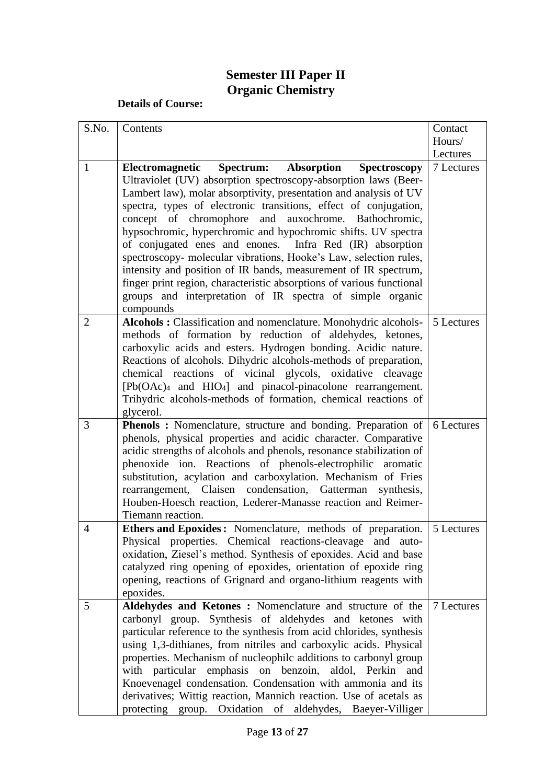# **Semester III Paper II Organic Chemistry**

| S.No.          | Contents                                                                                                                                                                                                                                                                   | Contact    |
|----------------|----------------------------------------------------------------------------------------------------------------------------------------------------------------------------------------------------------------------------------------------------------------------------|------------|
|                |                                                                                                                                                                                                                                                                            | Hours/     |
|                |                                                                                                                                                                                                                                                                            | Lectures   |
| $\mathbf{1}$   | Electromagnetic<br>Spectrum: Absorption<br><b>Spectroscopy</b>                                                                                                                                                                                                             | 7 Lectures |
|                | Ultraviolet (UV) absorption spectroscopy-absorption laws (Beer-<br>Lambert law), molar absorptivity, presentation and analysis of UV                                                                                                                                       |            |
|                | spectra, types of electronic transitions, effect of conjugation,<br>concept of chromophore and auxochrome. Bathochromic,                                                                                                                                                   |            |
|                | hypsochromic, hyperchromic and hypochromic shifts. UV spectra<br>of conjugated enes and enones. Infra Red (IR) absorption                                                                                                                                                  |            |
|                | spectroscopy- molecular vibrations, Hooke's Law, selection rules,<br>intensity and position of IR bands, measurement of IR spectrum,<br>finger print region, characteristic absorptions of various functional<br>groups and interpretation of IR spectra of simple organic |            |
|                | compounds                                                                                                                                                                                                                                                                  |            |
| $\overline{2}$ | Alcohols : Classification and nomenclature. Monohydric alcohols-<br>methods of formation by reduction of aldehydes, ketones,<br>carboxylic acids and esters. Hydrogen bonding. Acidic nature.<br>Reactions of alcohols. Dihydric alcohols-methods of preparation,          | 5 Lectures |
|                | chemical reactions of vicinal glycols, oxidative cleavage<br>$[Pb(OAc)4$ and $HIO4]$ and pinacol-pinacolone rearrangement.                                                                                                                                                 |            |
|                | Trihydric alcohols-methods of formation, chemical reactions of<br>glycerol.                                                                                                                                                                                                |            |
| 3              | Phenols : Nomenclature, structure and bonding. Preparation of                                                                                                                                                                                                              | 6 Lectures |
|                | phenols, physical properties and acidic character. Comparative                                                                                                                                                                                                             |            |
|                | acidic strengths of alcohols and phenols, resonance stabilization of<br>phenoxide ion. Reactions of phenols-electrophilic aromatic                                                                                                                                         |            |
|                | substitution, acylation and carboxylation. Mechanism of Fries                                                                                                                                                                                                              |            |
|                | Claisen condensation, Gatterman<br>rearrangement,<br>synthesis,                                                                                                                                                                                                            |            |
|                | Houben-Hoesch reaction, Lederer-Manasse reaction and Reimer-                                                                                                                                                                                                               |            |
|                | Tiemann reaction.                                                                                                                                                                                                                                                          |            |
| $\overline{4}$ | <b>Ethers and Epoxides:</b> Nomenclature, methods of preparation.<br>Physical properties. Chemical reactions-cleavage and auto-<br>oxidation, Ziesel's method. Synthesis of epoxides. Acid and base                                                                        | 5 Lectures |
|                | catalyzed ring opening of epoxides, orientation of epoxide ring                                                                                                                                                                                                            |            |
|                | opening, reactions of Grignard and organo-lithium reagents with<br>epoxides.                                                                                                                                                                                               |            |
| 5              | Aldehydes and Ketones: Nomenclature and structure of the                                                                                                                                                                                                                   | 7 Lectures |
|                | carbonyl group. Synthesis of aldehydes and ketones with                                                                                                                                                                                                                    |            |
|                | particular reference to the synthesis from acid chlorides, synthesis                                                                                                                                                                                                       |            |
|                | using 1,3-dithianes, from nitriles and carboxylic acids. Physical                                                                                                                                                                                                          |            |
|                | properties. Mechanism of nucleophilc additions to carbonyl group<br>with particular emphasis on benzoin, aldol, Perkin<br>and                                                                                                                                              |            |
|                | Knoevenagel condensation. Condensation with ammonia and its                                                                                                                                                                                                                |            |
|                | derivatives; Wittig reaction, Mannich reaction. Use of acetals as<br>protecting group. Oxidation of aldehydes, Baeyer-Villiger                                                                                                                                             |            |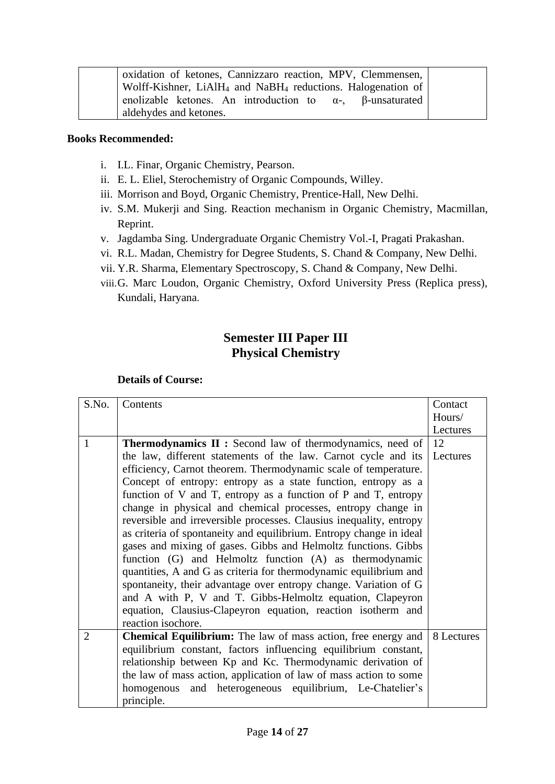| oxidation of ketones, Cannizzaro reaction, MPV, Clemmensen,                         |
|-------------------------------------------------------------------------------------|
| Wolff-Kishner, LiAlH <sub>4</sub> and NaBH <sub>4</sub> reductions. Halogenation of |
| enolizable ketones. An introduction to $\alpha$ -, $\beta$ -unsaturated             |
| aldehydes and ketones.                                                              |

- i. I.L. Finar, Organic Chemistry, Pearson.
- ii. E. L. Eliel, Sterochemistry of Organic Compounds, Willey.
- iii. Morrison and Boyd, Organic Chemistry, Prentice-Hall, New Delhi.
- iv. S.M. Mukerji and Sing. Reaction mechanism in Organic Chemistry, Macmillan, Reprint.
- v. Jagdamba Sing. Undergraduate Organic Chemistry Vol.-I, Pragati Prakashan.
- vi. R.L. Madan, Chemistry for Degree Students, S. Chand & Company, New Delhi.
- vii. Y.R. Sharma, Elementary Spectroscopy, S. Chand & Company, New Delhi.
- viii.G. Marc Loudon, Organic Chemistry, Oxford University Press (Replica press), Kundali, Haryana.

# **Semester III Paper III Physical Chemistry**

| S.No.          | Contents                                                             | Contact    |
|----------------|----------------------------------------------------------------------|------------|
|                |                                                                      | Hours/     |
|                |                                                                      | Lectures   |
| $\mathbf{1}$   | <b>Thermodynamics II :</b> Second law of thermodynamics, need of     | 12         |
|                | the law, different statements of the law. Carnot cycle and its       | Lectures   |
|                | efficiency, Carnot theorem. Thermodynamic scale of temperature.      |            |
|                | Concept of entropy: entropy as a state function, entropy as a        |            |
|                | function of V and T, entropy as a function of P and T, entropy       |            |
|                | change in physical and chemical processes, entropy change in         |            |
|                | reversible and irreversible processes. Clausius inequality, entropy  |            |
|                | as criteria of spontaneity and equilibrium. Entropy change in ideal  |            |
|                | gases and mixing of gases. Gibbs and Helmoltz functions. Gibbs       |            |
|                | function (G) and Helmoltz function (A) as thermodynamic              |            |
|                | quantities, A and G as criteria for thermodynamic equilibrium and    |            |
|                | spontaneity, their advantage over entropy change. Variation of G     |            |
|                | and A with P, V and T. Gibbs-Helmoltz equation, Clapeyron            |            |
|                | equation, Clausius-Clapeyron equation, reaction isotherm and         |            |
|                | reaction isochore.                                                   |            |
| $\overline{2}$ | <b>Chemical Equilibrium:</b> The law of mass action, free energy and | 8 Lectures |
|                | equilibrium constant, factors influencing equilibrium constant,      |            |
|                | relationship between Kp and Kc. Thermodynamic derivation of          |            |
|                | the law of mass action, application of law of mass action to some    |            |
|                | homogenous and heterogeneous equilibrium, Le-Chatelier's             |            |
|                | principle.                                                           |            |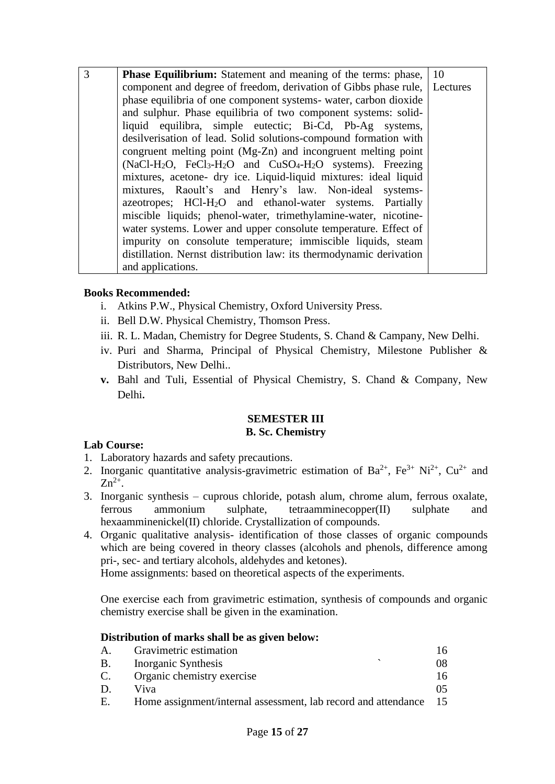| 3 | <b>Phase Equilibrium:</b> Statement and meaning of the terms: phase,        | 10 |
|---|-----------------------------------------------------------------------------|----|
|   | component and degree of freedom, derivation of Gibbs phase rule,   Lectures |    |
|   | phase equilibria of one component systems- water, carbon dioxide            |    |
|   | and sulphur. Phase equilibria of two component systems: solid-              |    |
|   | liquid equilibra, simple eutectic; Bi-Cd, Pb-Ag systems,                    |    |
|   | desilverisation of lead. Solid solutions-compound formation with            |    |
|   | congruent melting point (Mg-Zn) and incongruent melting point               |    |
|   | $(NaCl-H2O, FeCl3-H2O$ and $CuSO4-H2O$ systems). Freezing                   |    |
|   | mixtures, acetone- dry ice. Liquid-liquid mixtures: ideal liquid            |    |
|   | mixtures, Raoult's and Henry's law. Non-ideal systems-                      |    |
|   | azeotropes; HCl-H <sub>2</sub> O and ethanol-water systems. Partially       |    |
|   | miscible liquids; phenol-water, trimethylamine-water, nicotine-             |    |
|   | water systems. Lower and upper consolute temperature. Effect of             |    |
|   | impurity on consolute temperature; immiscible liquids, steam                |    |
|   | distillation. Nernst distribution law: its thermodynamic derivation         |    |
|   | and applications.                                                           |    |

- i. Atkins P.W., Physical Chemistry, Oxford University Press.
- ii. Bell D.W. Physical Chemistry, Thomson Press.
- iii. R. L. Madan, Chemistry for Degree Students, S. Chand & Campany, New Delhi.
- iv. Puri and Sharma, Principal of Physical Chemistry, Milestone Publisher & Distributors, New Delhi..
- **v.** Bahl and Tuli, Essential of Physical Chemistry, S. Chand & Company, New Delhi**.**

### **SEMESTER III B. Sc. Chemistry**

# **Lab Course:**

- 1. Laboratory hazards and safety precautions.
- 2. Inorganic quantitative analysis-gravimetric estimation of  $Ba^{2+}$ ,  $Fe^{3+} Ni^{2+}$ ,  $Cu^{2+}$  and  $Zn^{2+}$ .
- 3. Inorganic synthesis cuprous chloride, potash alum, chrome alum, ferrous oxalate, ferrous ammonium sulphate, tetraamminecopper(II) sulphate and hexaamminenickel(II) chloride. Crystallization of compounds.
- 4. Organic qualitative analysis- identification of those classes of organic compounds which are being covered in theory classes (alcohols and phenols, difference among pri-, sec- and tertiary alcohols, aldehydes and ketones).

Home assignments: based on theoretical aspects of the experiments.

One exercise each from gravimetric estimation, synthesis of compounds and organic chemistry exercise shall be given in the examination.

# **Distribution of marks shall be as given below:**

| A. | Gravimetric estimation                                         | 16 |
|----|----------------------------------------------------------------|----|
| B. | Inorganic Synthesis                                            | 08 |
| C. | Organic chemistry exercise                                     | 16 |
| D. | Viva                                                           |    |
| Е. | Home assignment/internal assessment, lab record and attendance | 15 |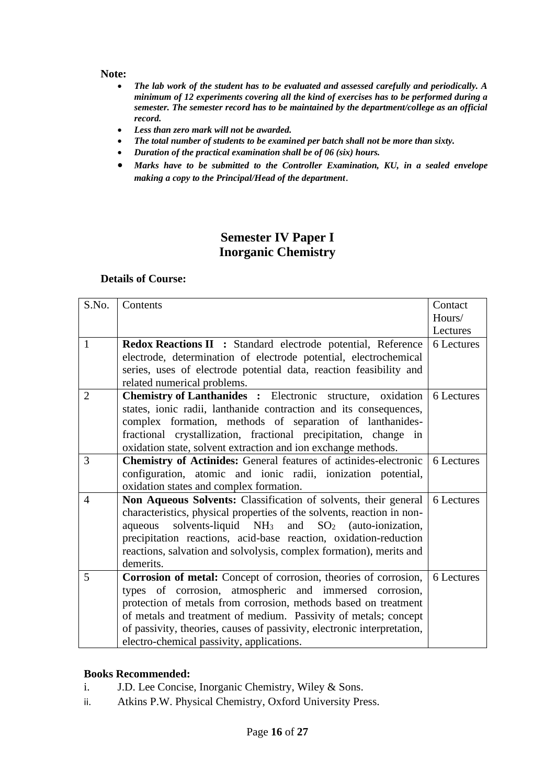#### **Note:**

- *The lab work of the student has to be evaluated and assessed carefully and periodically. A minimum of 12 experiments covering all the kind of exercises has to be performed during a semester. The semester record has to be maintained by the department/college as an official record.*
- *Less than zero mark will not be awarded.*
- *The total number of students to be examined per batch shall not be more than sixty.*
- *Duration of the practical examination shall be of 06 (six) hours.*
- *Marks have to be submitted to the Controller Examination, KU, in a sealed envelope making a copy to the Principal/Head of the department*.

# **Semester IV Paper I Inorganic Chemistry**

#### **Details of Course:**

| S.No.          | Contents                                                                | Contact    |
|----------------|-------------------------------------------------------------------------|------------|
|                |                                                                         | Hours/     |
|                |                                                                         | Lectures   |
| $\mathbf{1}$   | Redox Reactions II : Standard electrode potential, Reference            | 6 Lectures |
|                | electrode, determination of electrode potential, electrochemical        |            |
|                | series, uses of electrode potential data, reaction feasibility and      |            |
|                | related numerical problems.                                             |            |
| $\overline{2}$ | <b>Chemistry of Lanthanides:</b> Electronic structure, oxidation        | 6 Lectures |
|                | states, ionic radii, lanthanide contraction and its consequences,       |            |
|                | complex formation, methods of separation of lanthanides-                |            |
|                | fractional crystallization, fractional precipitation, change<br>in      |            |
|                | oxidation state, solvent extraction and ion exchange methods.           |            |
| 3              | <b>Chemistry of Actinides:</b> General features of actinides-electronic | 6 Lectures |
|                | configuration, atomic and ionic radii, ionization potential,            |            |
|                | oxidation states and complex formation.                                 |            |
| $\overline{4}$ | Non Aqueous Solvents: Classification of solvents, their general         | 6 Lectures |
|                | characteristics, physical properties of the solvents, reaction in non-  |            |
|                | aqueous solvents-liquid $NH_3$ and $SO_2$ (auto-ionization,             |            |
|                | precipitation reactions, acid-base reaction, oxidation-reduction        |            |
|                | reactions, salvation and solvolysis, complex formation), merits and     |            |
|                | demerits.                                                               |            |
| 5              | Corrosion of metal: Concept of corrosion, theories of corrosion,        | 6 Lectures |
|                | types of corrosion, atmospheric and immersed corrosion,                 |            |
|                | protection of metals from corrosion, methods based on treatment         |            |
|                | of metals and treatment of medium. Passivity of metals; concept         |            |
|                | of passivity, theories, causes of passivity, electronic interpretation, |            |
|                | electro-chemical passivity, applications.                               |            |

- i. J.D. Lee Concise, Inorganic Chemistry, Wiley & Sons.
- ii. Atkins P.W. Physical Chemistry, Oxford University Press.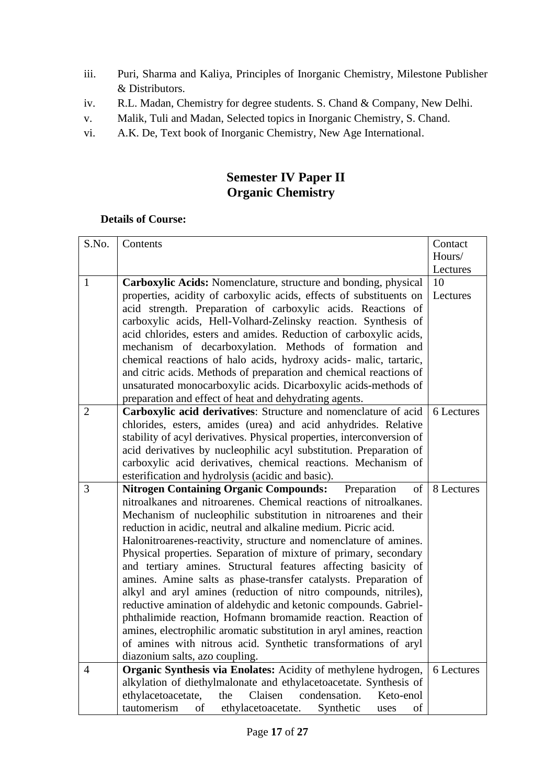- iii. Puri, Sharma and Kaliya, Principles of Inorganic Chemistry, Milestone Publisher & Distributors.
- iv. R.L. Madan, Chemistry for degree students. S. Chand & Company, New Delhi.
- v. Malik, Tuli and Madan, Selected topics in Inorganic Chemistry, S. Chand.
- vi. A.K. De, Text book of Inorganic Chemistry, New Age International.

# **Semester IV Paper II Organic Chemistry**

| S.No.          | Contents                                                                                                                           | Contact    |
|----------------|------------------------------------------------------------------------------------------------------------------------------------|------------|
|                |                                                                                                                                    | Hours/     |
|                |                                                                                                                                    | Lectures   |
| $\mathbf{1}$   | Carboxylic Acids: Nomenclature, structure and bonding, physical                                                                    | 10         |
|                | properties, acidity of carboxylic acids, effects of substituents on                                                                | Lectures   |
|                | acid strength. Preparation of carboxylic acids. Reactions of                                                                       |            |
|                | carboxylic acids, Hell-Volhard-Zelinsky reaction. Synthesis of                                                                     |            |
|                | acid chlorides, esters and amides. Reduction of carboxylic acids,                                                                  |            |
|                | mechanism of decarboxylation. Methods of formation and                                                                             |            |
|                | chemical reactions of halo acids, hydroxy acids- malic, tartaric,                                                                  |            |
|                | and citric acids. Methods of preparation and chemical reactions of                                                                 |            |
|                | unsaturated monocarboxylic acids. Dicarboxylic acids-methods of                                                                    |            |
|                | preparation and effect of heat and dehydrating agents.                                                                             |            |
| $\overline{2}$ | Carboxylic acid derivatives: Structure and nomenclature of acid                                                                    | 6 Lectures |
|                | chlorides, esters, amides (urea) and acid anhydrides. Relative                                                                     |            |
|                | stability of acyl derivatives. Physical properties, interconversion of                                                             |            |
|                | acid derivatives by nucleophilic acyl substitution. Preparation of                                                                 |            |
|                | carboxylic acid derivatives, chemical reactions. Mechanism of                                                                      |            |
|                | esterification and hydrolysis (acidic and basic).                                                                                  |            |
| 3              | <b>Nitrogen Containing Organic Compounds:</b><br>Preparation<br>of                                                                 | 8 Lectures |
|                | nitroalkanes and nitroarenes. Chemical reactions of nitroalkanes.                                                                  |            |
|                | Mechanism of nucleophilic substitution in nitroarenes and their<br>reduction in acidic, neutral and alkaline medium. Picric acid.  |            |
|                |                                                                                                                                    |            |
|                | Halonitroarenes-reactivity, structure and nomenclature of amines.                                                                  |            |
|                | Physical properties. Separation of mixture of primary, secondary<br>and tertiary amines. Structural features affecting basicity of |            |
|                | amines. Amine salts as phase-transfer catalysts. Preparation of                                                                    |            |
|                | alkyl and aryl amines (reduction of nitro compounds, nitriles),                                                                    |            |
|                | reductive amination of aldehydic and ketonic compounds. Gabriel-                                                                   |            |
|                | phthalimide reaction, Hofmann bromamide reaction. Reaction of                                                                      |            |
|                | amines, electrophilic aromatic substitution in aryl amines, reaction                                                               |            |
|                | of amines with nitrous acid. Synthetic transformations of aryl                                                                     |            |
|                | diazonium salts, azo coupling.                                                                                                     |            |
| 4              | Organic Synthesis via Enolates: Acidity of methylene hydrogen,                                                                     | 6 Lectures |
|                | alkylation of diethylmalonate and ethylacetoacetate. Synthesis of                                                                  |            |
|                | Claisen<br>condensation.<br>ethylacetoacetate,<br>the<br>Keto-enol                                                                 |            |
|                | tautomerism<br>of<br>ethylacetoacetate.<br>Synthetic<br>of<br>uses                                                                 |            |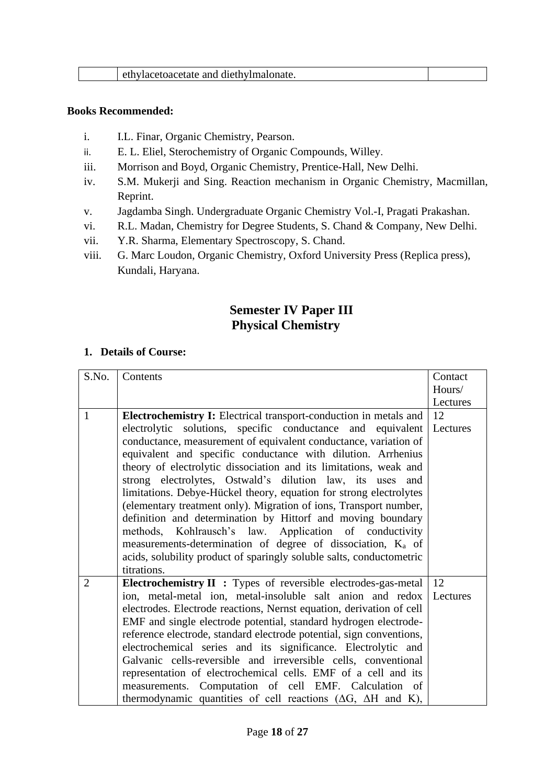| ethylacetoacetate and diethylmalonate. |
|----------------------------------------|
|----------------------------------------|

- i. I.L. Finar, Organic Chemistry, Pearson.
- ii. E. L. Eliel, Sterochemistry of Organic Compounds, Willey.
- iii. Morrison and Boyd, Organic Chemistry, Prentice-Hall, New Delhi.
- iv. S.M. Mukerji and Sing. Reaction mechanism in Organic Chemistry, Macmillan, Reprint.
- v. Jagdamba Singh. Undergraduate Organic Chemistry Vol.-I, Pragati Prakashan.
- vi. R.L. Madan, Chemistry for Degree Students, S. Chand & Company, New Delhi.
- vii. Y.R. Sharma, Elementary Spectroscopy, S. Chand.
- viii. G. Marc Loudon, Organic Chemistry, Oxford University Press (Replica press), Kundali, Haryana.

# **Semester IV Paper III Physical Chemistry**

| S.No.        | Contents                                                                                                                                | Contact  |
|--------------|-----------------------------------------------------------------------------------------------------------------------------------------|----------|
|              |                                                                                                                                         | Hours/   |
|              |                                                                                                                                         | Lectures |
| $\mathbf{1}$ | <b>Electrochemistry I:</b> Electrical transport-conduction in metals and                                                                | 12       |
|              | electrolytic solutions, specific conductance and equivalent                                                                             | Lectures |
|              | conductance, measurement of equivalent conductance, variation of                                                                        |          |
|              | equivalent and specific conductance with dilution. Arrhenius                                                                            |          |
|              | theory of electrolytic dissociation and its limitations, weak and                                                                       |          |
|              | strong electrolytes, Ostwald's dilution law, its uses and                                                                               |          |
|              | limitations. Debye-Hückel theory, equation for strong electrolytes<br>(elementary treatment only). Migration of ions, Transport number, |          |
|              | definition and determination by Hittorf and moving boundary                                                                             |          |
|              | methods, Kohlrausch's law. Application of conductivity                                                                                  |          |
|              | measurements-determination of degree of dissociation, K <sub>a</sub> of                                                                 |          |
|              | acids, solubility product of sparingly soluble salts, conductometric                                                                    |          |
|              | titrations.                                                                                                                             |          |
| 2            | <b>Electrochemistry II :</b> Types of reversible electrodes-gas-metal   12                                                              |          |
|              | ion, metal-metal ion, metal-insoluble salt anion and redox                                                                              | Lectures |
|              | electrodes. Electrode reactions, Nernst equation, derivation of cell                                                                    |          |
|              | EMF and single electrode potential, standard hydrogen electrode-                                                                        |          |
|              | reference electrode, standard electrode potential, sign conventions,                                                                    |          |
|              | electrochemical series and its significance. Electrolytic and                                                                           |          |
|              | Galvanic cells-reversible and irreversible cells, conventional                                                                          |          |
|              | representation of electrochemical cells. EMF of a cell and its                                                                          |          |
|              | measurements. Computation of cell EMF. Calculation of                                                                                   |          |
|              | thermodynamic quantities of cell reactions ( $\Delta G$ , $\Delta H$ and K),                                                            |          |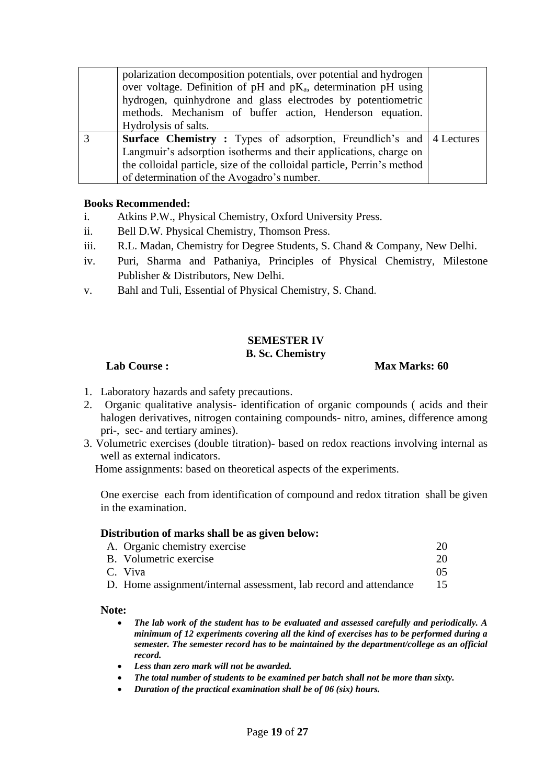| polarization decomposition potentials, over potential and hydrogen<br>over voltage. Definition of pH and $pK_a$ , determination pH using<br>hydrogen, quinhydrone and glass electrodes by potentiometric<br>methods. Mechanism of buffer action, Henderson equation. |  |
|----------------------------------------------------------------------------------------------------------------------------------------------------------------------------------------------------------------------------------------------------------------------|--|
| Hydrolysis of salts.                                                                                                                                                                                                                                                 |  |
| <b>Surface Chemistry:</b> Types of adsorption, Freundlich's and 4 Lectures                                                                                                                                                                                           |  |
| Langmuir's adsorption isotherms and their applications, charge on                                                                                                                                                                                                    |  |
| the colloidal particle, size of the colloidal particle, Perrin's method                                                                                                                                                                                              |  |
| of determination of the Avogadro's number.                                                                                                                                                                                                                           |  |

- i. Atkins P.W., Physical Chemistry, Oxford University Press.
- ii. Bell D.W. Physical Chemistry, Thomson Press.
- iii. R.L. Madan, Chemistry for Degree Students, S. Chand & Company, New Delhi.
- iv. Puri, Sharma and Pathaniya, Principles of Physical Chemistry, Milestone Publisher & Distributors, New Delhi.
- v. Bahl and Tuli, Essential of Physical Chemistry, S. Chand.

### **SEMESTER IV B. Sc. Chemistry**

### **Lab Course : Max Marks: 60**

- 1. Laboratory hazards and safety precautions.
- 2. Organic qualitative analysis- identification of organic compounds ( acids and their halogen derivatives, nitrogen containing compounds- nitro, amines, difference among pri-, sec- and tertiary amines).
- 3. Volumetric exercises (double titration)- based on redox reactions involving internal as well as external indicators.

Home assignments: based on theoretical aspects of the experiments.

One exercise each from identification of compound and redox titration shall be given in the examination.

### **Distribution of marks shall be as given below:**

| A. Organic chemistry exercise                                     | 20 |
|-------------------------------------------------------------------|----|
| B. Volumetric exercise                                            | 20 |
| C. Viva                                                           | 05 |
| D. Home assignment/internal assessment, lab record and attendance | 15 |

### **Note:**

- *The lab work of the student has to be evaluated and assessed carefully and periodically. A minimum of 12 experiments covering all the kind of exercises has to be performed during a semester. The semester record has to be maintained by the department/college as an official record.*
- *Less than zero mark will not be awarded.*
- *The total number of students to be examined per batch shall not be more than sixty.*
- *Duration of the practical examination shall be of 06 (six) hours.*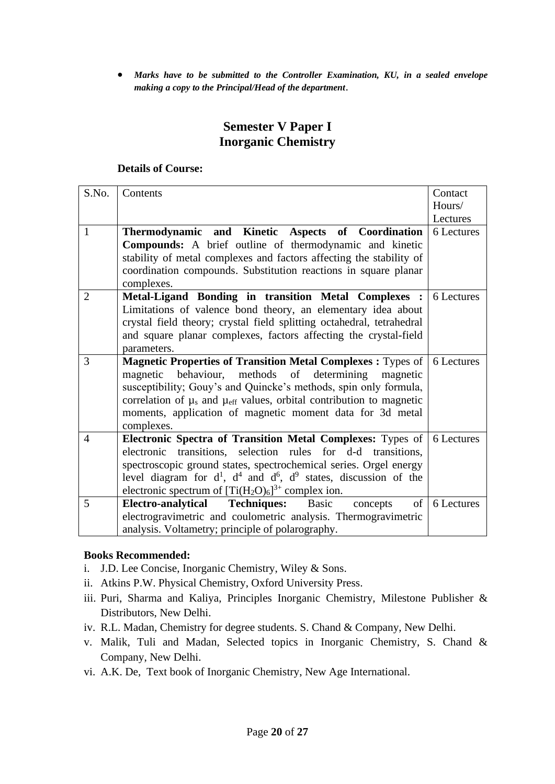• *Marks have to be submitted to the Controller Examination, KU, in a sealed envelope making a copy to the Principal/Head of the department*.

# **Semester V Paper I Inorganic Chemistry**

### **Details of Course:**

| S.No.          | Contents                                                                               | Contact    |
|----------------|----------------------------------------------------------------------------------------|------------|
|                |                                                                                        | Hours/     |
|                |                                                                                        | Lectures   |
| $\mathbf{1}$   | Thermodynamic and Kinetic Aspects of Coordination                                      | 6 Lectures |
|                | <b>Compounds:</b> A brief outline of thermodynamic and kinetic                         |            |
|                | stability of metal complexes and factors affecting the stability of                    |            |
|                | coordination compounds. Substitution reactions in square planar                        |            |
|                | complexes.                                                                             |            |
| $\overline{2}$ | Metal-Ligand Bonding in transition Metal Complexes :                                   | 6 Lectures |
|                | Limitations of valence bond theory, an elementary idea about                           |            |
|                | crystal field theory; crystal field splitting octahedral, tetrahedral                  |            |
|                | and square planar complexes, factors affecting the crystal-field                       |            |
|                | parameters.                                                                            |            |
| 3              | <b>Magnetic Properties of Transition Metal Complexes: Types of  </b>                   | 6 Lectures |
|                | magnetic behaviour, methods<br>determining<br>of<br>magnetic                           |            |
|                | susceptibility; Gouy's and Quincke's methods, spin only formula,                       |            |
|                | correlation of $\mu_s$ and $\mu_{\text{eff}}$ values, orbital contribution to magnetic |            |
|                | moments, application of magnetic moment data for 3d metal                              |            |
|                | complexes.                                                                             |            |
| $\overline{4}$ | Electronic Spectra of Transition Metal Complexes: Types of                             | 6 Lectures |
|                | electronic transitions, selection rules for d-d transitions,                           |            |
|                | spectroscopic ground states, spectrochemical series. Orgel energy                      |            |
|                | level diagram for $d^1$ , $d^4$ and $d^6$ , $d^9$ states, discussion of the            |            |
|                | electronic spectrum of $[Ti(H_2O)_6]^{3+}$ complex ion.                                |            |
| 5              | Electro-analytical Techniques:<br>Basic<br>of<br>concepts                              | 6 Lectures |
|                | electrogravimetric and coulometric analysis. Thermogravimetric                         |            |
|                | analysis. Voltametry; principle of polarography.                                       |            |

- i. J.D. Lee Concise, Inorganic Chemistry, Wiley & Sons.
- ii. Atkins P.W. Physical Chemistry, Oxford University Press.
- iii. Puri, Sharma and Kaliya, Principles Inorganic Chemistry, Milestone Publisher & Distributors, New Delhi.
- iv. R.L. Madan, Chemistry for degree students. S. Chand & Company, New Delhi.
- v. Malik, Tuli and Madan, Selected topics in Inorganic Chemistry, S. Chand & Company, New Delhi.
- vi. A.K. De, Text book of Inorganic Chemistry, New Age International.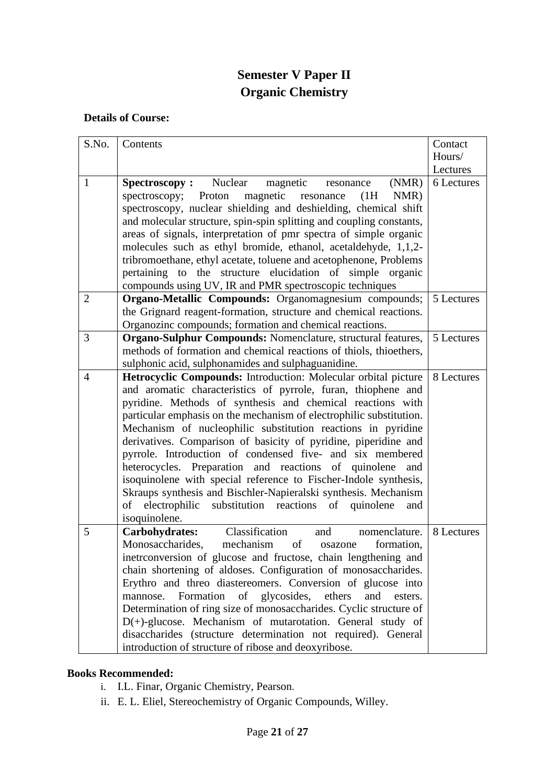# **Semester V Paper II Organic Chemistry**

# **Details of Course:**

| S.No.          | Contents                                                                                                                                                                                                                                                                                                                                                                                                                                                                                                                                                                                                                                                                                                                                                            | Contact    |
|----------------|---------------------------------------------------------------------------------------------------------------------------------------------------------------------------------------------------------------------------------------------------------------------------------------------------------------------------------------------------------------------------------------------------------------------------------------------------------------------------------------------------------------------------------------------------------------------------------------------------------------------------------------------------------------------------------------------------------------------------------------------------------------------|------------|
|                |                                                                                                                                                                                                                                                                                                                                                                                                                                                                                                                                                                                                                                                                                                                                                                     | Hours/     |
|                |                                                                                                                                                                                                                                                                                                                                                                                                                                                                                                                                                                                                                                                                                                                                                                     | Lectures   |
| $\mathbf{1}$   | <b>Spectroscopy:</b> Nuclear<br>magnetic<br>(NMR)<br>resonance<br>magnetic<br>NMR)<br>Proton<br>spectroscopy;<br>(1H)<br>resonance<br>spectroscopy, nuclear shielding and deshielding, chemical shift<br>and molecular structure, spin-spin splitting and coupling constants,<br>areas of signals, interpretation of pmr spectra of simple organic<br>molecules such as ethyl bromide, ethanol, acetaldehyde, 1,1,2-<br>tribromoethane, ethyl acetate, toluene and acetophenone, Problems<br>pertaining to the structure elucidation of simple organic<br>compounds using UV, IR and PMR spectroscopic techniques                                                                                                                                                   | 6 Lectures |
| $\overline{2}$ | <b>Organo-Metallic Compounds:</b> Organomagnesium compounds;<br>the Grignard reagent-formation, structure and chemical reactions.<br>Organozinc compounds; formation and chemical reactions.                                                                                                                                                                                                                                                                                                                                                                                                                                                                                                                                                                        | 5 Lectures |
| 3              | <b>Organo-Sulphur Compounds: Nomenclature, structural features,</b><br>methods of formation and chemical reactions of thiols, thioethers,<br>sulphonic acid, sulphonamides and sulphaguanidine.                                                                                                                                                                                                                                                                                                                                                                                                                                                                                                                                                                     | 5 Lectures |
| $\overline{4}$ | Hetrocyclic Compounds: Introduction: Molecular orbital picture<br>and aromatic characteristics of pyrrole, furan, thiophene and<br>pyridine. Methods of synthesis and chemical reactions with<br>particular emphasis on the mechanism of electrophilic substitution.<br>Mechanism of nucleophilic substitution reactions in pyridine<br>derivatives. Comparison of basicity of pyridine, piperidine and<br>pyrrole. Introduction of condensed five- and six membered<br>heterocycles. Preparation and reactions of quinolene<br>and<br>isoquinolene with special reference to Fischer-Indole synthesis,<br>Skraups synthesis and Bischler-Napieralski synthesis. Mechanism<br>of electrophilic<br>substitution reactions<br>of<br>quinolene<br>and<br>isoquinolene. | 8 Lectures |
| 5              | Classification<br>Carbohydrates:<br>nomenclature.<br>and<br>Monosaccharides,<br>mechanism<br>of<br>formation,<br>osazone<br>inetrconversion of glucose and fructose, chain lengthening and<br>chain shortening of aldoses. Configuration of monosaccharides.<br>Erythro and threo diastereomers. Conversion of glucose into<br>Formation of glycosides, ethers<br>mannose.<br>and<br>esters.<br>Determination of ring size of monosaccharides. Cyclic structure of<br>D(+)-glucose. Mechanism of mutarotation. General study of<br>disaccharides (structure determination not required). General<br>introduction of structure of ribose and deoxyribose.                                                                                                            | 8 Lectures |

- i. I.L. Finar, Organic Chemistry, Pearson.
- ii. E. L. Eliel, Stereochemistry of Organic Compounds, Willey.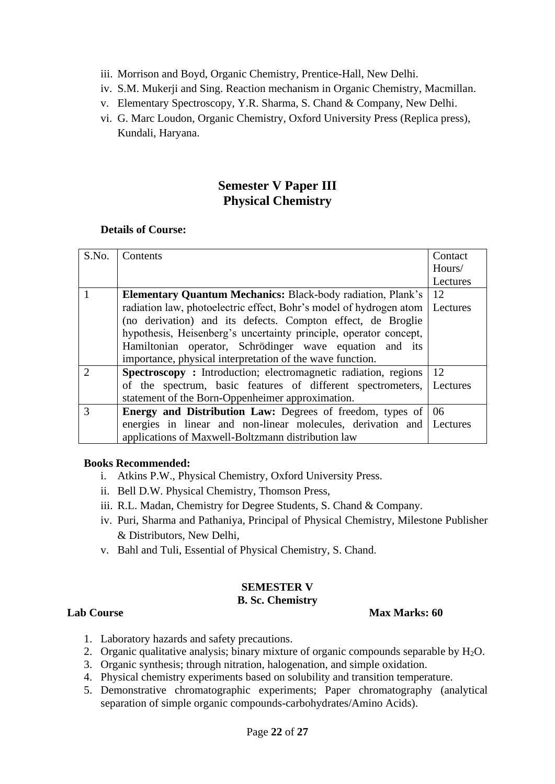- iii. Morrison and Boyd, Organic Chemistry, Prentice-Hall, New Delhi.
- iv. S.M. Mukerji and Sing. Reaction mechanism in Organic Chemistry, Macmillan.
- v. Elementary Spectroscopy, Y.R. Sharma, S. Chand & Company, New Delhi.
- vi. G. Marc Loudon, Organic Chemistry, Oxford University Press (Replica press), Kundali, Haryana.

# **Semester V Paper III Physical Chemistry**

## **Details of Course:**

| S.No.         | Contents                                                                    | Contact  |
|---------------|-----------------------------------------------------------------------------|----------|
|               |                                                                             | Hours/   |
|               |                                                                             |          |
|               |                                                                             | Lectures |
|               | <b>Elementary Quantum Mechanics:</b> Black-body radiation, Plank's          | 12       |
|               | radiation law, photoelectric effect, Bohr's model of hydrogen atom          | Lectures |
|               | (no derivation) and its defects. Compton effect, de Broglie                 |          |
|               | hypothesis, Heisenberg's uncertainty principle, operator concept,           |          |
|               | Hamiltonian operator, Schrödinger wave equation and its                     |          |
|               | importance, physical interpretation of the wave function.                   |          |
| $\mathcal{D}$ | <b>Spectroscopy</b> : Introduction; electromagnetic radiation, regions      | 12       |
|               | of the spectrum, basic features of different spectrometers, Lectures        |          |
|               | statement of the Born-Oppenheimer approximation.                            |          |
| 3             | <b>Energy and Distribution Law:</b> Degrees of freedom, types of $\vert$ 06 |          |
|               | energies in linear and non-linear molecules, derivation and Lectures        |          |
|               | applications of Maxwell-Boltzmann distribution law                          |          |

### **Books Recommended:**

- i. Atkins P.W., Physical Chemistry, Oxford University Press.
- ii. Bell D.W. Physical Chemistry, Thomson Press,
- iii. R.L. Madan, Chemistry for Degree Students, S. Chand & Company.
- iv. Puri, Sharma and Pathaniya, Principal of Physical Chemistry, Milestone Publisher & Distributors, New Delhi,
- v. Bahl and Tuli, Essential of Physical Chemistry, S. Chand.

# **SEMESTER V**

# **B. Sc. Chemistry**

### **Lab Course Max Marks: 60**

- 1. Laboratory hazards and safety precautions.
- 2. Organic qualitative analysis; binary mixture of organic compounds separable by  $H_2O$ .
- 3. Organic synthesis; through nitration, halogenation, and simple oxidation.
- 4. Physical chemistry experiments based on solubility and transition temperature.
- 5. Demonstrative chromatographic experiments; Paper chromatography (analytical separation of simple organic compounds-carbohydrates/Amino Acids).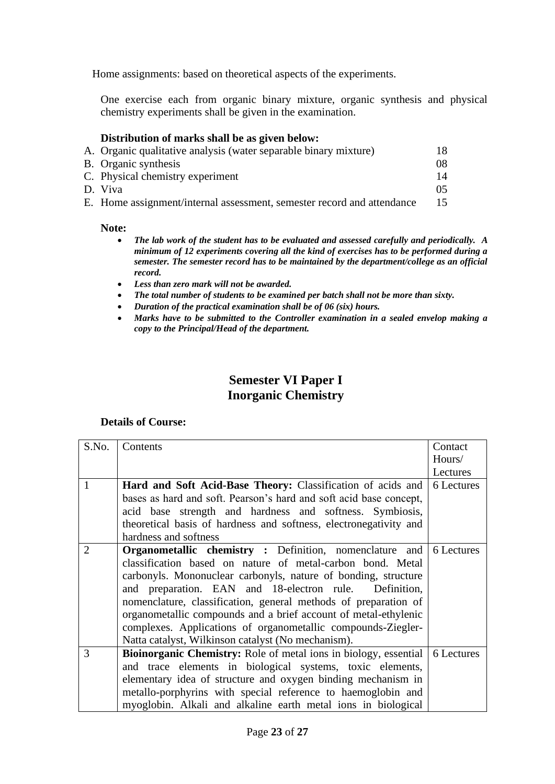Home assignments: based on theoretical aspects of the experiments.

One exercise each from organic binary mixture, organic synthesis and physical chemistry experiments shall be given in the examination.

### **Distribution of marks shall be as given below:**

| A. Organic qualitative analysis (water separable binary mixture)       | 18. |
|------------------------------------------------------------------------|-----|
| <b>B.</b> Organic synthesis                                            | 08  |
| C. Physical chemistry experiment                                       | 14  |
| D. Viva                                                                |     |
| E. Home assignment/internal assessment, semester record and attendance |     |

#### **Note:**

- *The lab work of the student has to be evaluated and assessed carefully and periodically. A minimum of 12 experiments covering all the kind of exercises has to be performed during a semester. The semester record has to be maintained by the department/college as an official record.*
- *Less than zero mark will not be awarded.*
- *The total number of students to be examined per batch shall not be more than sixty.*
- *Duration of the practical examination shall be of 06 (six) hours.*
- *Marks have to be submitted to the Controller examination in a sealed envelop making a copy to the Principal/Head of the department.*

# **Semester VI Paper I Inorganic Chemistry**

| S.No. | Contents                                                                | Contact<br>Hours/ |
|-------|-------------------------------------------------------------------------|-------------------|
|       |                                                                         | Lectures          |
| 1     | Hard and Soft Acid-Base Theory: Classification of acids and             | 6 Lectures        |
|       | bases as hard and soft. Pearson's hard and soft acid base concept,      |                   |
|       | acid base strength and hardness and softness. Symbiosis,                |                   |
|       | theoretical basis of hardness and softness, electronegativity and       |                   |
|       | hardness and softness                                                   |                   |
| 2     | <b>Organometallic chemistry:</b> Definition, nomenclature and           | 6 Lectures        |
|       | classification based on nature of metal-carbon bond. Metal              |                   |
|       | carbonyls. Mononuclear carbonyls, nature of bonding, structure          |                   |
|       | and preparation. EAN and 18-electron rule.<br>Definition,               |                   |
|       | nomenclature, classification, general methods of preparation of         |                   |
|       | organometallic compounds and a brief account of metal-ethylenic         |                   |
|       | complexes. Applications of organometallic compounds-Ziegler-            |                   |
|       | Natta catalyst, Wilkinson catalyst (No mechanism).                      |                   |
| 3     | <b>Bioinorganic Chemistry:</b> Role of metal ions in biology, essential | 6 Lectures        |
|       | and trace elements in biological systems, toxic elements,               |                   |
|       | elementary idea of structure and oxygen binding mechanism in            |                   |
|       | metallo-porphyrins with special reference to haemoglobin and            |                   |
|       | myoglobin. Alkali and alkaline earth metal ions in biological           |                   |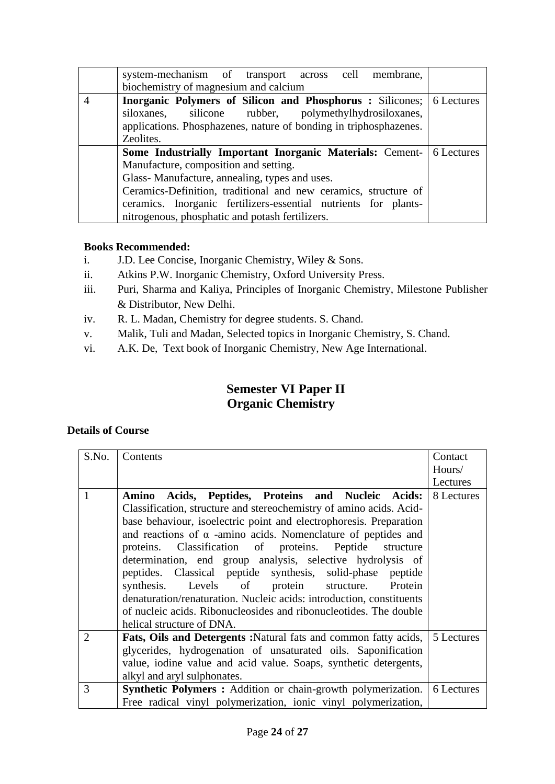| system-mechanism of transport across cell membrane,                         |  |
|-----------------------------------------------------------------------------|--|
| biochemistry of magnesium and calcium                                       |  |
| <b>Inorganic Polymers of Silicon and Phosphorus :</b> Silicones; 6 Lectures |  |
| silicone rubber, polymethylhydrosiloxanes,<br>siloxanes,                    |  |
| applications. Phosphazenes, nature of bonding in triphosphazenes.           |  |
| Zeolites.                                                                   |  |
| <b>Some Industrially Important Inorganic Materials: Cement- 6 Lectures</b>  |  |
| Manufacture, composition and setting.                                       |  |
| Glass-Manufacture, annealing, types and uses.                               |  |
| Ceramics-Definition, traditional and new ceramics, structure of             |  |
| ceramics. Inorganic fertilizers-essential nutrients for plants-             |  |
| nitrogenous, phosphatic and potash fertilizers.                             |  |

- i. J.D. Lee Concise, Inorganic Chemistry, Wiley & Sons.
- ii. Atkins P.W. Inorganic Chemistry, Oxford University Press.
- iii. Puri, Sharma and Kaliya, Principles of Inorganic Chemistry, Milestone Publisher & Distributor, New Delhi.
- iv. R. L. Madan, Chemistry for degree students. S. Chand.
- v. Malik, Tuli and Madan, Selected topics in Inorganic Chemistry, S. Chand.
- vi. A.K. De, Text book of Inorganic Chemistry, New Age International.

# **Semester VI Paper II Organic Chemistry**

| S.No.          | Contents                                                                          | Contact    |
|----------------|-----------------------------------------------------------------------------------|------------|
|                |                                                                                   | Hours/     |
|                |                                                                                   | Lectures   |
| 1              | Acids, Peptides, Proteins and Nucleic Acids:<br>Amino                             | 8 Lectures |
|                | Classification, structure and stereochemistry of amino acids. Acid-               |            |
|                | base behaviour, isoelectric point and electrophoresis. Preparation                |            |
|                | and reactions of $\alpha$ -amino acids. Nomenclature of peptides and              |            |
|                | proteins. Classification of proteins. Peptide<br>structure                        |            |
|                | determination, end group analysis, selective hydrolysis of                        |            |
|                | peptides. Classical peptide synthesis, solid-phase peptide                        |            |
|                | synthesis. Levels of protein structure. Protein                                   |            |
|                | denaturation/renaturation. Nucleic acids: introduction, constituents              |            |
|                | of nucleic acids. Ribonucleosides and ribonucleotides. The double                 |            |
|                | helical structure of DNA.                                                         |            |
| $\overline{2}$ | <b>Fats, Oils and Detergents:</b> Natural fats and common fatty acids, 5 Lectures |            |
|                | glycerides, hydrogenation of unsaturated oils. Saponification                     |            |
|                | value, iodine value and acid value. Soaps, synthetic detergents,                  |            |
|                | alkyl and aryl sulphonates.                                                       |            |
| 3              | <b>Synthetic Polymers :</b> Addition or chain-growth polymerization.              | 6 Lectures |
|                | Free radical vinyl polymerization, ionic vinyl polymerization,                    |            |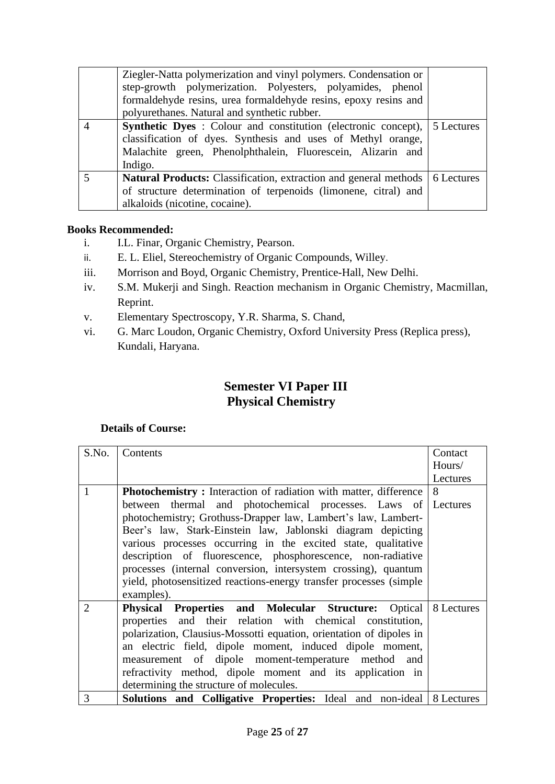| Ziegler-Natta polymerization and vinyl polymers. Condensation or<br>step-growth polymerization. Polyesters, polyamides, phenol<br>formaldehyde resins, urea formaldehyde resins, epoxy resins and                          |  |
|----------------------------------------------------------------------------------------------------------------------------------------------------------------------------------------------------------------------------|--|
| polyurethanes. Natural and synthetic rubber.                                                                                                                                                                               |  |
| <b>Synthetic Dyes</b> : Colour and constitution (electronic concept), 5 Lectures<br>classification of dyes. Synthesis and uses of Methyl orange,<br>Malachite green, Phenolphthalein, Fluorescein, Alizarin and<br>Indigo. |  |
| <b>Natural Products:</b> Classification, extraction and general methods   6 Lectures<br>of structure determination of terpenoids (limonene, citral) and                                                                    |  |
| alkaloids (nicotine, cocaine).                                                                                                                                                                                             |  |

- i. I.L. Finar, Organic Chemistry, Pearson.
- ii. E. L. Eliel, Stereochemistry of Organic Compounds, Willey.
- iii. Morrison and Boyd, Organic Chemistry, Prentice-Hall, New Delhi.
- iv. S.M. Mukerji and Singh. Reaction mechanism in Organic Chemistry, Macmillan, Reprint.
- v. Elementary Spectroscopy, Y.R. Sharma, S. Chand,
- vi. G. Marc Loudon, Organic Chemistry, Oxford University Press (Replica press), Kundali, Haryana.

# **Semester VI Paper III Physical Chemistry**

| S.No.          | Contents                                                                    | Contact  |
|----------------|-----------------------------------------------------------------------------|----------|
|                |                                                                             | Hours/   |
|                |                                                                             | Lectures |
| 1              | <b>Photochemistry:</b> Interaction of radiation with matter, difference     | 8        |
|                | between thermal and photochemical processes. Laws of Lectures               |          |
|                | photochemistry; Grothuss-Drapper law, Lambert's law, Lambert-               |          |
|                | Beer's law, Stark-Einstein law, Jablonski diagram depicting                 |          |
|                | various processes occurring in the excited state, qualitative               |          |
|                | description of fluorescence, phosphorescence, non-radiative                 |          |
|                | processes (internal conversion, intersystem crossing), quantum              |          |
|                | yield, photosensitized reactions-energy transfer processes (simple          |          |
|                | examples).                                                                  |          |
| $\overline{2}$ | <b>Physical Properties and Molecular Structure:</b> Optical 8 Lectures      |          |
|                | properties and their relation with chemical constitution,                   |          |
|                | polarization, Clausius-Mossotti equation, orientation of dipoles in         |          |
|                | an electric field, dipole moment, induced dipole moment,                    |          |
|                | measurement of dipole moment-temperature method and                         |          |
|                | refractivity method, dipole moment and its application in                   |          |
|                | determining the structure of molecules.                                     |          |
| 3              | <b>Solutions and Colligative Properties:</b> Ideal and non-ideal 8 Lectures |          |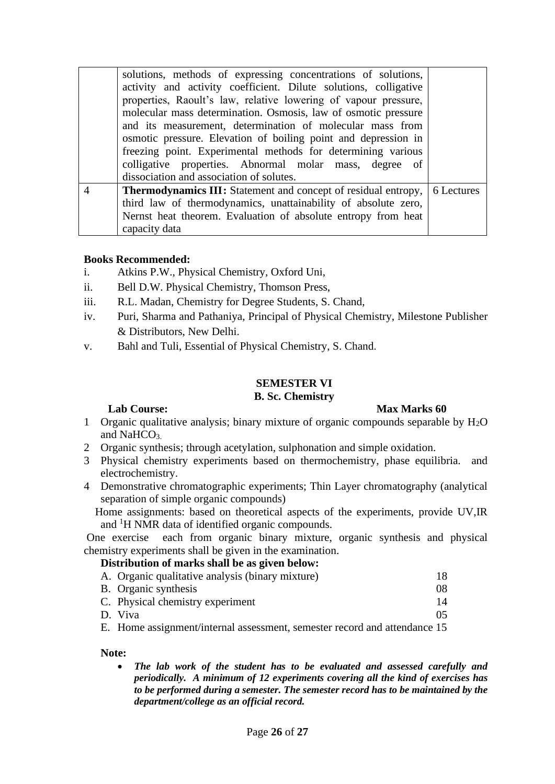|                | solutions, methods of expressing concentrations of solutions,<br>activity and activity coefficient. Dilute solutions, colligative<br>properties, Raoult's law, relative lowering of vapour pressure,<br>molecular mass determination. Osmosis, law of osmotic pressure<br>and its measurement, determination of molecular mass from<br>osmotic pressure. Elevation of boiling point and depression in<br>freezing point. Experimental methods for determining various<br>colligative properties. Abnormal molar mass, degree of |  |
|----------------|---------------------------------------------------------------------------------------------------------------------------------------------------------------------------------------------------------------------------------------------------------------------------------------------------------------------------------------------------------------------------------------------------------------------------------------------------------------------------------------------------------------------------------|--|
|                | dissociation and association of solutes.                                                                                                                                                                                                                                                                                                                                                                                                                                                                                        |  |
| $\overline{A}$ | <b>Thermodynamics III:</b> Statement and concept of residual entropy,   6 Lectures<br>third law of thermodynamics, unattainability of absolute zero,<br>Nernst heat theorem. Evaluation of absolute entropy from heat                                                                                                                                                                                                                                                                                                           |  |
|                | capacity data                                                                                                                                                                                                                                                                                                                                                                                                                                                                                                                   |  |

- i. Atkins P.W., Physical Chemistry, Oxford Uni,
- ii. Bell D.W. Physical Chemistry, Thomson Press,
- iii. R.L. Madan, Chemistry for Degree Students, S. Chand,
- iv. Puri, Sharma and Pathaniya, Principal of Physical Chemistry, Milestone Publisher & Distributors, New Delhi.
- v. Bahl and Tuli, Essential of Physical Chemistry, S. Chand.

# **SEMESTER VI**

# **B. Sc. Chemistry**

# **Lab Course: Max Marks 60**

- 1 Organic qualitative analysis; binary mixture of organic compounds separable by  $H_2O$ and NaHCO<sub>3</sub>
- 2 Organic synthesis; through acetylation, sulphonation and simple oxidation.
- 3 Physical chemistry experiments based on thermochemistry, phase equilibria. and electrochemistry.
- 4 Demonstrative chromatographic experiments; Thin Layer chromatography (analytical separation of simple organic compounds)

Home assignments: based on theoretical aspects of the experiments, provide UV,IR and <sup>1</sup>H NMR data of identified organic compounds.

One exercise each from organic binary mixture, organic synthesis and physical chemistry experiments shall be given in the examination.

### **Distribution of marks shall be as given below:**

| A. Organic qualitative analysis (binary mixture) |    |
|--------------------------------------------------|----|
| B. Organic synthesis                             | 08 |
| C. Physical chemistry experiment                 | 14 |
| D. Viva                                          | 05 |

E. Home assignment/internal assessment, semester record and attendance 15

**Note:** 

• *The lab work of the student has to be evaluated and assessed carefully and periodically. A minimum of 12 experiments covering all the kind of exercises has to be performed during a semester. The semester record has to be maintained by the department/college as an official record.*